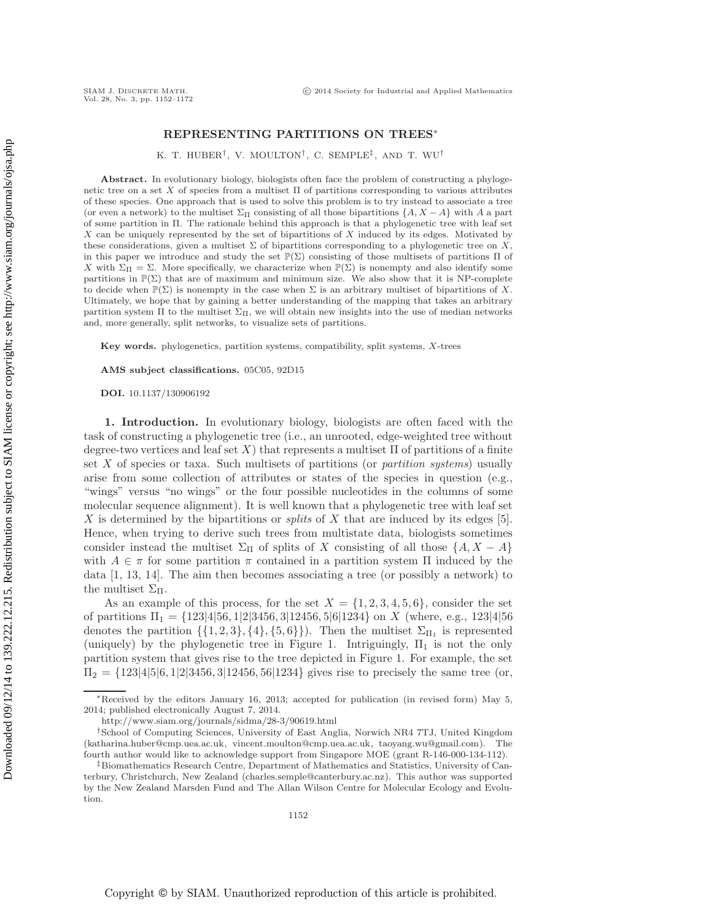## **REPRESENTING PARTITIONS ON TREES**<sup>∗</sup>

K. T. HUBER†, V. MOULTON†, C. SEMPLE‡ , AND T. WU†

**Abstract.** In evolutionary biology, biologists often face the problem of constructing a phylogenetic tree on a set X of species from a multiset  $\Pi$  of partitions corresponding to various attributes of these species. One approach that is used to solve this problem is to try instead to associate a tree (or even a network) to the multiset  $\Sigma_{\Pi}$  consisting of all those bipartitions  $\{A, X - A\}$  with A a part of some partition in Π. The rationale behind this approach is that a phylogenetic tree with leaf set  $X$  can be uniquely represented by the set of bipartitions of  $X$  induced by its edges. Motivated by these considerations, given a multiset  $\Sigma$  of bipartitions corresponding to a phylogenetic tree on X, in this paper we introduce and study the set  $\mathbb{P}(\Sigma)$  consisting of those multisets of partitions  $\Pi$  of X with  $\Sigma_{\Pi} = \Sigma$ . More specifically, we characterize when  $\mathbb{P}(\Sigma)$  is nonempty and also identify some partitions in  $\mathbb{P}(\Sigma)$  that are of maximum and minimum size. We also show that it is NP-complete to decide when  $\mathbb{P}(\Sigma)$  is nonempty in the case when  $\Sigma$  is an arbitrary multiset of bipartitions of X. Ultimately, we hope that by gaining a better understanding of the mapping that takes an arbitrary partition system  $\Pi$  to the multiset  $\Sigma_{\Pi}$ , we will obtain new insights into the use of median networks and, more generally, split networks, to visualize sets of partitions.

**Key words.** phylogenetics, partition systems, compatibility, split systems, X-trees

**AMS subject classifications.** 05C05, 92D15

**DOI.** 10.1137/130906192

**1. Introduction.** In evolutionary biology, biologists are often faced with the task of constructing a phylogenetic tree (i.e., an unrooted, edge-weighted tree without degree-two vertices and leaf set X) that represents a multiset  $\Pi$  of partitions of a finite set X of species or taxa. Such multisets of partitions (or *partition systems*) usually arise from some collection of attributes or states of the species in question (e.g., "wings" versus "no wings" or the four possible nucleotides in the columns of some molecular sequence alignment). It is well known that a phylogenetic tree with leaf set X is determined by the bipartitions or *splits* of X that are induced by its edges [\[5\]](#page-19-0). Hence, when trying to derive such trees from multistate data, biologists sometimes consider instead the multiset  $\Sigma_{\Pi}$  of splits of X consisting of all those  $\{A, X - A\}$ with  $A \in \pi$  for some partition  $\pi$  contained in a partition system  $\Pi$  induced by the data [\[1,](#page-19-1) [13,](#page-20-0) [14\]](#page-20-1). The aim then becomes associating a tree (or possibly a network) to the multiset  $\Sigma_{\Pi}$ .

As an example of this process, for the set  $X = \{1, 2, 3, 4, 5, 6\}$ , consider the set of partitions  $\Pi_1 = \{123|4|56, 1|2|3456, 3|12456, 5|6|1234\}$  on X (where, e.g., 123|4|56 denotes the partition  $\{\{1, 2, 3\}, \{4\}, \{5, 6\}\}\)$ . Then the multiset  $\Sigma_{\Pi_1}$  is represented (uniquely) by the phylogenetic tree in Figure [1.](#page-1-0) Intriguingly,  $\Pi_1$  is not the only partition system that gives rise to the tree depicted in Figure [1.](#page-1-0) For example, the set  $\Pi_2 = \{123|4|5|6, 1|2|3456, 3|12456, 56|1234\}$  gives rise to precisely the same tree (or,

<sup>∗</sup>Received by the editors January 16, 2013; accepted for publication (in revised form) May 5, 2014; published electronically August 7, 2014.

<http://www.siam.org/journals/sidma/28-3/90619.html>

<sup>†</sup>School of Computing Sciences, University of East Anglia, Norwich NR4 7TJ, United Kingdom [\(katharina.huber@cmp.uea.ac.uk,](mailto:katharina.huber@cmp.uea.ac.uk) [vincent.moulton@cmp.uea.ac.uk,](mailto:vincent.moulton@cmp.uea.ac.uk) [taoyang.wu@gmail.com\)](mailto:taoyang.wu@gmail.com). The fourth author would like to acknowledge support from Singapore MOE (grant R-146-000-134-112).

<sup>‡</sup>Biomathematics Research Centre, Department of Mathematics and Statistics, University of Canterbury, Christchurch, New Zealand [\(charles.semple@canterbury.ac.nz\)](mailto:charles.semple@canterbury.ac.nz). This author was supported by the New Zealand Marsden Fund and The Allan Wilson Centre for Molecular Ecology and Evolution.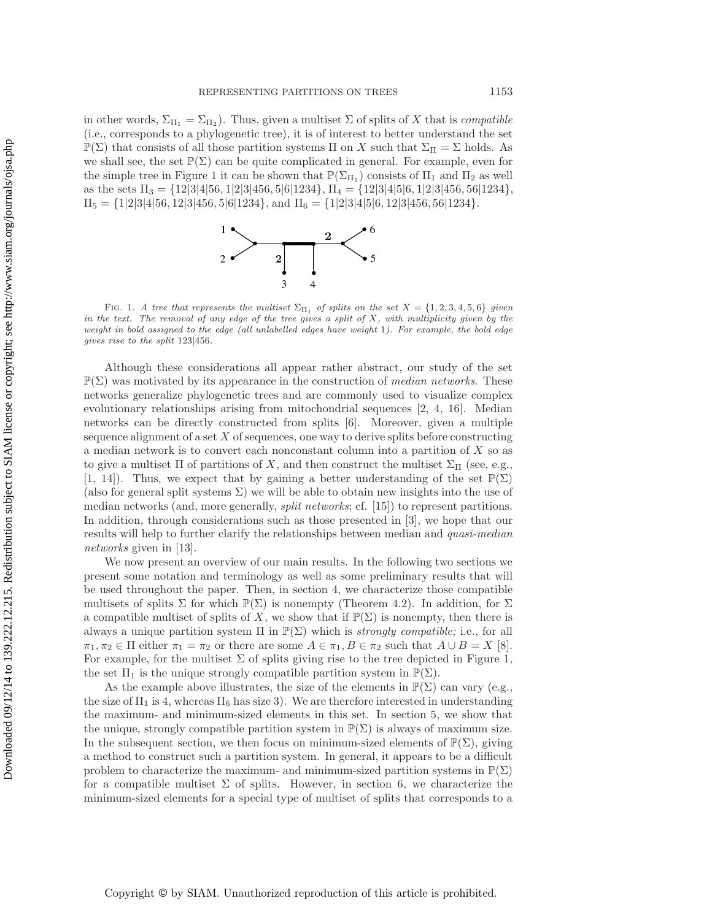in other words,  $\Sigma_{\Pi_1} = \Sigma_{\Pi_2}$ ). Thus, given a multiset  $\Sigma$  of splits of X that is *compatible* (i.e., corresponds to a phylogenetic tree), it is of interest to better understand the set  $\mathbb{P}(\Sigma)$  that consists of all those partition systems Π on X such that  $\Sigma_{\Pi} = \Sigma$  holds. As we shall see, the set  $\mathbb{P}(\Sigma)$  can be quite complicated in general. For example, even for the simple tree in Figure [1](#page-1-0) it can be shown that  $\mathbb{P}(\Sigma_{\Pi_1})$  consists of  $\Pi_1$  and  $\Pi_2$  as well as the sets  $\Pi_3 = \{12|3|4|56, 1|2|3|456, 5|6|1234\}, \Pi_4 = \{12|3|4|5|6, 1|2|3|456, 56|1234\},\$  $\Pi_5 = \{1|2|3|4|56, 12|3|456, 5|6|1234\}, \text{ and } \Pi_6 = \{1|2|3|4|5|6, 12|3|456, 56|1234\}.$ 



<span id="page-1-0"></span>FIG. 1. *A tree that represents the multiset*  $\Sigma_{\Pi_1}$  *of splits on the set*  $X = \{1, 2, 3, 4, 5, 6\}$  *given in the text. The removal of any edge of the tree gives a split of* X*, with multiplicity given by the weight in bold assigned to the edge (all unlabelled edges have weight* 1*). For example, the bold edge gives rise to the split* 123*|*456*.*

Although these considerations all appear rather abstract, our study of the set  $\mathbb{P}(\Sigma)$  was motivated by its appearance in the construction of *median networks*. These networks generalize phylogenetic trees and are commonly used to visualize complex evolutionary relationships arising from mitochondrial sequences [\[2,](#page-19-2) [4,](#page-19-3) [16\]](#page-20-2). Median networks can be directly constructed from splits [\[6\]](#page-19-4). Moreover, given a multiple sequence alignment of a set  $X$  of sequences, one way to derive splits before constructing a median network is to convert each nonconstant column into a partition of X so as to give a multiset  $\Pi$  of partitions of X, and then construct the multiset  $\Sigma_{\Pi}$  (see, e.g., [\[1,](#page-19-1) [14\]](#page-20-1)). Thus, we expect that by gaining a better understanding of the set  $\mathbb{P}(\Sigma)$ (also for general split systems  $\Sigma$ ) we will be able to obtain new insights into the use of median networks (and, more generally, *split networks*; cf. [\[15\]](#page-20-3)) to represent partitions. In addition, through considerations such as those presented in [\[3\]](#page-19-5), we hope that our results will help to further clarify the relationships between median and *quasi-median networks* given in [\[13\]](#page-20-0).

We now present an overview of our main results. In the following two sections we present some notation and terminology as well as some preliminary results that will be used throughout the paper. Then, in section [4,](#page-5-0) we characterize those compatible multisets of splits  $\Sigma$  for which  $\mathbb{P}(\Sigma)$  is nonempty (Theorem [4.2\)](#page-6-0). In addition, for  $\Sigma$ a compatible multiset of splits of X, we show that if  $\mathbb{P}(\Sigma)$  is nonempty, then there is always a unique partition system  $\Pi$  in  $\mathbb{P}(\Sigma)$  which is *strongly compatible;* i.e., for all  $\pi_1, \pi_2 \in \Pi$  either  $\pi_1 = \pi_2$  or there are some  $A \in \pi_1, B \in \pi_2$  such that  $A \cup B = X$  [\[8\]](#page-20-4). For example, for the multiset  $\Sigma$  of splits giving rise to the tree depicted in Figure [1,](#page-1-0) the set  $\Pi_1$  is the unique strongly compatible partition system in  $\mathbb{P}(\Sigma)$ .

As the example above illustrates, the size of the elements in  $\mathbb{P}(\Sigma)$  can vary (e.g., the size of  $\Pi_1$  is 4, whereas  $\Pi_6$  has size 3). We are therefore interested in understanding the maximum- and minimum-sized elements in this set. In section [5,](#page-8-0) we show that the unique, strongly compatible partition system in  $\mathbb{P}(\Sigma)$  is always of maximum size. In the subsequent section, we then focus on minimum-sized elements of  $\mathbb{P}(\Sigma)$ , giving a method to construct such a partition system. In general, it appears to be a difficult problem to characterize the maximum- and minimum-sized partition systems in  $\mathbb{P}(\Sigma)$ for a compatible multiset  $\Sigma$  of splits. However, in section [6,](#page-10-0) we characterize the minimum-sized elements for a special type of multiset of splits that corresponds to a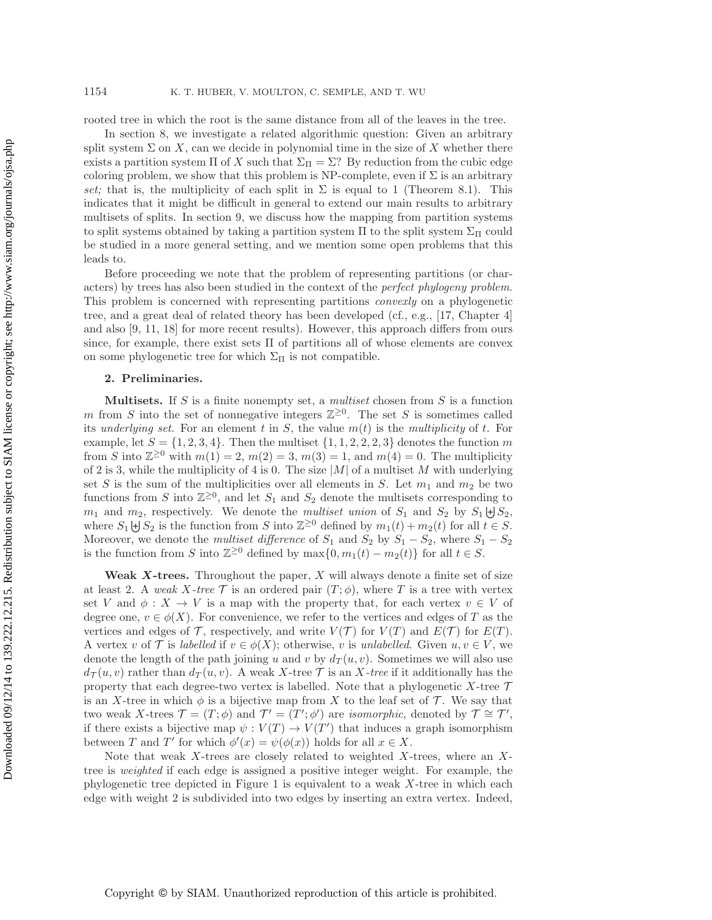rooted tree in which the root is the same distance from all of the leaves in the tree.

In section [8,](#page-17-0) we investigate a related algorithmic question: Given an arbitrary split system  $\Sigma$  on X, can we decide in polynomial time in the size of X whether there exists a partition system  $\Pi$  of X such that  $\Sigma_{\Pi} = \Sigma$ ? By reduction from the cubic edge coloring problem, we show that this problem is NP-complete, even if  $\Sigma$  is an arbitrary *set;* that is, the multiplicity of each split in  $\Sigma$  is equal to 1 (Theorem [8.1\)](#page-17-1). This indicates that it might be difficult in general to extend our main results to arbitrary multisets of splits. In section [9,](#page-18-0) we discuss how the mapping from partition systems to split systems obtained by taking a partition system  $\Pi$  to the split system  $\Sigma_{\Pi}$  could be studied in a more general setting, and we mention some open problems that this leads to.

Before proceeding we note that the problem of representing partitions (or characters) by trees has also been studied in the context of the *perfect phylogeny problem*. This problem is concerned with representing partitions *convexly* on a phylogenetic tree, and a great deal of related theory has been developed (cf., e.g., [\[17,](#page-20-5) Chapter 4] and also [\[9,](#page-20-6) [11,](#page-20-7) [18\]](#page-20-8) for more recent results). However, this approach differs from ours since, for example, there exist sets Π of partitions all of whose elements are convex on some phylogenetic tree for which  $\Sigma_{\Pi}$  is not compatible.

## **2. Preliminaries.**

**Multisets.** If S is a finite nonempty set, a *multiset* chosen from S is a function m from S into the set of nonnegative integers  $\mathbb{Z}^{\geq 0}$ . The set S is sometimes called its *underlying set*. For an element t in  $S$ , the value  $m(t)$  is the *multiplicity* of t. For example, let  $S = \{1, 2, 3, 4\}$ . Then the multiset  $\{1, 1, 2, 2, 2, 3\}$  denotes the function m from S into  $\mathbb{Z}^{\geq 0}$  with  $m(1) = 2, m(2) = 3, m(3) = 1$ , and  $m(4) = 0$ . The multiplicity of 2 is 3, while the multiplicity of 4 is 0. The size  $|M|$  of a multiset M with underlying set S is the sum of the multiplicities over all elements in S. Let  $m_1$  and  $m_2$  be two functions from S into  $\mathbb{Z}^{\geq 0}$ , and let  $S_1$  and  $S_2$  denote the multisets corresponding to  $m_1$  and  $m_2$ , respectively. We denote the *multiset union* of  $S_1$  and  $S_2$  by  $S_1 \downarrow S_2$ , where  $S_1 \biguplus S_2$  is the function from S into  $\mathbb{Z}^{\geq 0}$  defined by  $m_1(t) + m_2(t)$  for all  $t \in S$ . Moreover, we denote the *multiset difference* of  $S_1$  and  $S_2$  by  $S_1 - S_2$ , where  $S_1 - S_2$ is the function from S into  $\mathbb{Z}^{\geq 0}$  defined by  $\max\{0, m_1(t) - m_2(t)\}\$ for all  $t \in S$ .

**Weak** *X***-trees.** Throughout the paper, X will always denote a finite set of size at least 2. A *weak* X-tree  $\mathcal T$  is an ordered pair  $(T, \phi)$ , where T is a tree with vertex set V and  $\phi: X \to V$  is a map with the property that, for each vertex  $v \in V$  of degree one,  $v \in \phi(X)$ . For convenience, we refer to the vertices and edges of T as the vertices and edges of T, respectively, and write  $V(T)$  for  $V(T)$  and  $E(T)$  for  $E(T)$ . A vertex v of T is *labelled* if  $v \in \phi(X)$ ; otherwise, v is *unlabelled*. Given  $u, v \in V$ , we denote the length of the path joining u and v by  $d_T(u, v)$ . Sometimes we will also use  $d_{\mathcal{T}}(u, v)$  rather than  $d_{\mathcal{T}}(u, v)$ . A weak X-tree  $\mathcal{T}$  is an X-tree if it additionally has the property that each degree-two vertex is labelled. Note that a phylogenetic  $X$ -tree  $\mathcal T$ is an X-tree in which  $\phi$  is a bijective map from X to the leaf set of  $\mathcal T$ . We say that two weak X-trees  $\mathcal{T} = (T, \phi)$  and  $\mathcal{T}' = (T', \phi')$  are *isomorphic*, denoted by  $\mathcal{T} \cong \mathcal{T}'$ , if there exists a bijective map  $\psi : V(T) \to V(T')$  that induces a graph isomorphism between T and T' for which  $\phi'(x) = \psi(\phi(x))$  holds for all  $x \in X$ .

Note that weak X-trees are closely related to weighted X-trees, where an  $X$ tree is *weighted* if each edge is assigned a positive integer weight. For example, the phylogenetic tree depicted in Figure [1](#page-1-0) is equivalent to a weak X-tree in which each edge with weight 2 is subdivided into two edges by inserting an extra vertex. Indeed,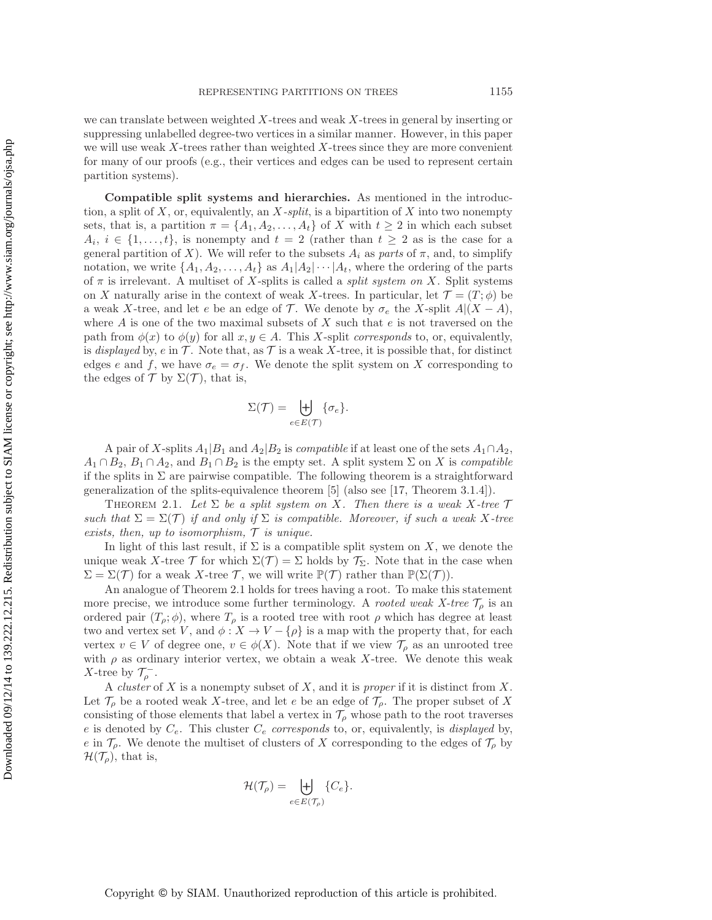we can translate between weighted  $X$ -trees and weak  $X$ -trees in general by inserting or suppressing unlabelled degree-two vertices in a similar manner. However, in this paper we will use weak  $X$ -trees rather than weighted  $X$ -trees since they are more convenient for many of our proofs (e.g., their vertices and edges can be used to represent certain partition systems).

**Compatible split systems and hierarchies.** As mentioned in the introduction, a split of X, or, equivalently, an X*-split*, is a bipartition of X into two nonempty sets, that is, a partition  $\pi = \{A_1, A_2, \ldots, A_t\}$  of X with  $t \geq 2$  in which each subset  $A_i, i \in \{1, \ldots, t\},\$ is nonempty and  $t = 2$  (rather than  $t \geq 2$  as is the case for a general partition of X). We will refer to the subsets  $A_i$  as *parts* of  $\pi$ , and, to simplify notation, we write  $\{A_1, A_2, \ldots, A_t\}$  as  $A_1|A_2|\cdots|A_t$ , where the ordering of the parts of  $\pi$  is irrelevant. A multiset of X-splits is called a *split system on* X. Split systems on X naturally arise in the context of weak X-trees. In particular, let  $\mathcal{T} = (T, \phi)$  be a weak X-tree, and let e be an edge of  $\mathcal T$ . We denote by  $\sigma_e$  the X-split  $A|(X-A)$ , where  $A$  is one of the two maximal subsets of  $X$  such that  $e$  is not traversed on the path from  $\phi(x)$  to  $\phi(y)$  for all  $x, y \in A$ . This X-split *corresponds* to, or, equivalently, is *displayed* by,  $e$  in  $\mathcal{T}$ . Note that, as  $\mathcal{T}$  is a weak X-tree, it is possible that, for distinct edges e and f, we have  $\sigma_e = \sigma_f$ . We denote the split system on X corresponding to the edges of  $\mathcal T$  by  $\Sigma(\mathcal T)$ , that is,

$$
\Sigma(\mathcal{T}) = \biguplus_{e \in E(\mathcal{T})} \{\sigma_e\}.
$$

A pair of X-splits  $A_1|B_1$  and  $A_2|B_2$  is *compatible* if at least one of the sets  $A_1 \cap A_2$ ,  $A_1 \cap B_2$ ,  $B_1 \cap A_2$ , and  $B_1 \cap B_2$  is the empty set. A split system  $\Sigma$  on X is *compatible* if the splits in  $\Sigma$  are pairwise compatible. The following theorem is a straightforward generalization of the splits-equivalence theorem [\[5\]](#page-19-0) (also see [\[17,](#page-20-5) Theorem 3.1.4]).

<span id="page-3-0"></span>THEOREM 2.1. Let  $\Sigma$  be a split system on X. Then there is a weak X-tree  $\mathcal T$ *such that*  $\Sigma = \Sigma(\mathcal{T})$  *if and only if*  $\Sigma$  *is compatible. Moreover, if such a weak* X-tree *exists, then, up to isomorphism,* T *is unique.*

In light of this last result, if  $\Sigma$  is a compatible split system on X, we denote the unique weak X-tree  $\mathcal T$  for which  $\Sigma(\mathcal T) = \Sigma$  holds by  $\mathcal T_{\Sigma}$ . Note that in the case when  $\Sigma = \Sigma(\mathcal{T})$  for a weak X-tree  $\mathcal{T}$ , we will write  $\mathbb{P}(\mathcal{T})$  rather than  $\mathbb{P}(\Sigma(\mathcal{T}))$ .

An analogue of Theorem [2.1](#page-3-0) holds for trees having a root. To make this statement more precise, we introduce some further terminology. A *rooted weak X-tree*  $\mathcal{T}_{\rho}$  is an ordered pair  $(T_\rho; \phi)$ , where  $T_\rho$  is a rooted tree with root  $\rho$  which has degree at least two and vertex set V, and  $\phi: X \to V - {\rho}$  is a map with the property that, for each vertex  $v \in V$  of degree one,  $v \in \phi(X)$ . Note that if we view  $\mathcal{T}_{\rho}$  as an unrooted tree with  $\rho$  as ordinary interior vertex, we obtain a weak X-tree. We denote this weak X-tree by  $\mathcal{T}_{\rho}^{-}$ .

A *cluster* of X is a nonempty subset of X, and it is *proper* if it is distinct from X. Let  $\mathcal{T}_{\rho}$  be a rooted weak X-tree, and let e be an edge of  $\mathcal{T}_{\rho}$ . The proper subset of X consisting of those elements that label a vertex in  $\mathcal{T}_{\rho}$  whose path to the root traverses e is denoted by Ce. This cluster C<sup>e</sup> *corresponds* to, or, equivalently, is *displayed* by, e in  $\mathcal{T}_{\rho}$ . We denote the multiset of clusters of X corresponding to the edges of  $\mathcal{T}_{\rho}$  by  $\mathcal{H}(\mathcal{T}_{\rho}),$  that is,

$$
\mathcal{H}(\mathcal{T}_{\rho}) = \biguplus_{e \in E(\mathcal{T}_{\rho})} \{C_e\}.
$$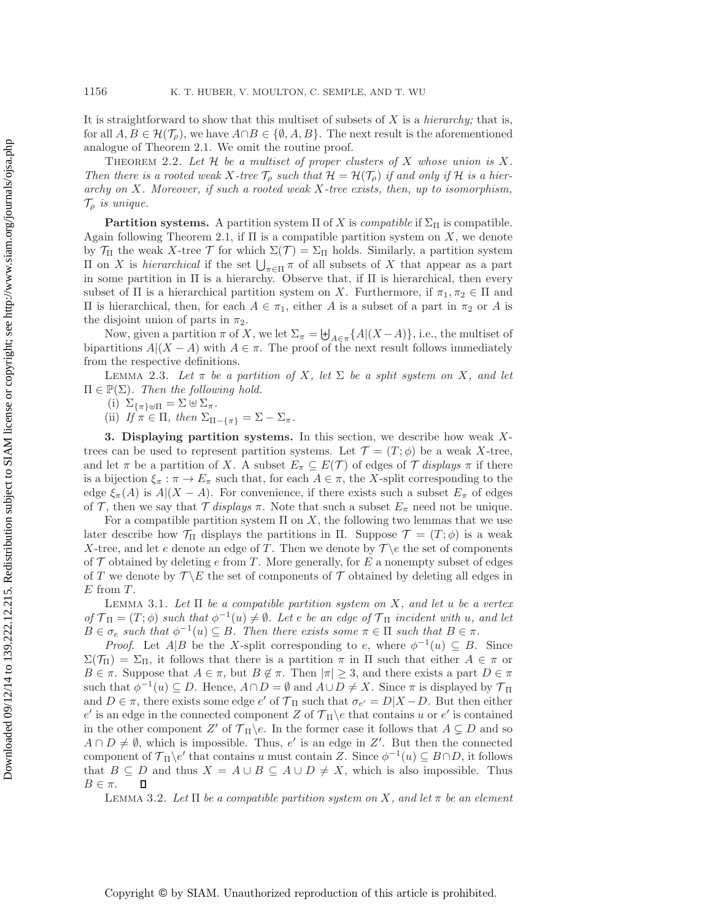It is straightforward to show that this multiset of subsets of X is a *hierarchy;* that is, for all  $A, B \in \mathcal{H}(\mathcal{T}_{\rho})$ , we have  $A \cap B \in \{\emptyset, A, B\}$ . The next result is the aforementioned analogue of Theorem [2.1.](#page-3-0) We omit the routine proof.

<span id="page-4-3"></span>Theorem 2.2. *Let* H *be a multiset of proper clusters of* X *whose union is* X*. Then there is a rooted weak* X-tree  $\mathcal{T}_{\rho}$  such that  $\mathcal{H} = \mathcal{H}(\mathcal{T}_{\rho})$  *if and only if*  $\mathcal{H}$  *is a hierarchy on* X*. Moreover, if such a rooted weak* X*-tree exists, then, up to isomorphism,*  $\mathcal{T}_{\rho}$  *is unique.* 

**Partition systems.** A partition system  $\Pi$  of X is *compatible* if  $\Sigma_{\Pi}$  is compatible. Again following Theorem [2.1,](#page-3-0) if  $\Pi$  is a compatible partition system on X, we denote by  $\mathcal{T}_{\Pi}$  the weak X-tree  $\mathcal{T}$  for which  $\Sigma(\mathcal{T})=\Sigma_{\Pi}$  holds. Similarly, a partition system  $\Pi$  on *X* is *hierarchical* if the set  $\bigcup_{\pi \in \Pi} \pi$  of all subsets of *X* that appear as a part in some partition in  $\Pi$  is a hierarchy. Observe that, if  $\Pi$  is hierarchical, then every subset of  $\Pi$  is a hierarchical partition system on X. Furthermore, if  $\pi_1, \pi_2 \in \Pi$  and  $\Pi$  is hierarchical, then, for each  $A \in \pi_1$ , either A is a subset of a part in π<sub>2</sub> or A is the disjoint union of parts in  $\pi_2$ .

Now, given a partition  $\pi$  of X, we let  $\Sigma_{\pi} = \biguplus_{A \in \pi} \{A | (X - A)\}\)$ , i.e., the multiset of bipartitions  $A|(X - A)$  with  $A \in \pi$ . The proof of the next result follows immediately from the respective definitions.

<span id="page-4-2"></span>LEMMA 2.3. Let  $\pi$  be a partition of X, let  $\Sigma$  be a split system on X, and let  $\Pi \in \mathbb{P}(\Sigma)$ *. Then the following hold.* 

(i)  $\Sigma_{\{\pi\}\oplus\Pi} = \Sigma \oplus \Sigma_{\pi}.$ 

(ii)  $If \pi \in \Pi$ , then  $\Sigma_{\Pi-\{\pi\}} = \Sigma - \Sigma_{\pi}$ .

**3. Displaying partition systems.** In this section, we describe how weak Xtrees can be used to represent partition systems. Let  $\mathcal{T} = (T, \phi)$  be a weak X-tree, and let  $\pi$  be a partition of X. A subset  $E_{\pi} \subseteq E(\mathcal{T})$  of edges of  $\mathcal{T}$  *displays*  $\pi$  if there is a bijection  $\xi_{\pi} : \pi \to E_{\pi}$  such that, for each  $A \in \pi$ , the X-split corresponding to the edge  $\xi_{\pi}(A)$  is  $A|(X - A)$ . For convenience, if there exists such a subset  $E_{\pi}$  of edges of T, then we say that  $\mathcal T$  *displays*  $\pi$ . Note that such a subset  $E_{\pi}$  need not be unique.

For a compatible partition system  $\Pi$  on  $X$ , the following two lemmas that we use later describe how  $\mathcal{T}_{\Pi}$  displays the partitions in  $\Pi$ . Suppose  $\mathcal{T} = (T; \phi)$  is a weak X-tree, and let e denote an edge of T. Then we denote by  $\mathcal{T} \backslash e$  the set of components of  $\mathcal T$  obtained by deleting  $e$  from  $T$ . More generally, for  $E$  a nonempty subset of edges of T we denote by  $\mathcal{T} \backslash E$  the set of components of T obtained by deleting all edges in  $E$  from  $T$ .

<span id="page-4-1"></span>Lemma 3.1. *Let* Π *be a compatible partition system on* X*, and let* u *be a vertex*  $of \mathcal{T}_{\Pi} = (T, \phi)$  *such that*  $\phi^{-1}(u) \neq \emptyset$ . Let *e* be an edge of  $\mathcal{T}_{\Pi}$  *incident with* u, and let  $B \in \sigma_e$  such that  $\phi^{-1}(u) \subseteq B$ . Then there exists some  $\pi \in \Pi$  such that  $B \in \pi$ .

*Proof.* Let  $A|B$  be the X-split corresponding to e, where  $\phi^{-1}(u) \subseteq B$ . Since  $\Sigma(\mathcal{T}_{\Pi})=\Sigma_{\Pi}$ , it follows that there is a partition  $\pi$  in  $\Pi$  such that either  $A \in \pi$  or  $B \in \pi$ . Suppose that  $A \in \pi$ , but  $B \notin \pi$ . Then  $|\pi| \geq 3$ , and there exists a part  $D \in \pi$ such that  $\phi^{-1}(u) \subseteq D$ . Hence,  $A \cap D = \emptyset$  and  $A \cup D \neq X$ . Since  $\pi$  is displayed by  $\mathcal{T}_{\Pi}$ and  $D \in \pi$ , there exists some edge e' of  $\mathcal{T}_{\Pi}$  such that  $\sigma_{e'} = D|X - D$ . But then either e' is an edge in the connected component Z of  $\mathcal{T}_{\Pi} \backslash e$  that contains u or e' is contained in the other component Z' of  $\mathcal{T}_{\Pi} \backslash e$ . In the former case it follows that  $A \subsetneq D$  and so  $A \cap D \neq \emptyset$ , which is impossible. Thus, e' is an edge in Z'. But then the connected component of  $\mathcal{T}_{\Pi}\backslash e'$  that contains u must contain Z. Since  $\phi^{-1}(u) \subseteq B \cap D$ , it follows that  $B \subseteq D$  and thus  $X = A \cup B \subseteq A \cup D \neq X$ , which is also impossible. Thus  $B \in \pi$ .  $\Box$ 

<span id="page-4-0"></span>LEMMA 3.2. Let  $\Pi$  *be a compatible partition system on* X, and let  $\pi$  *be an element*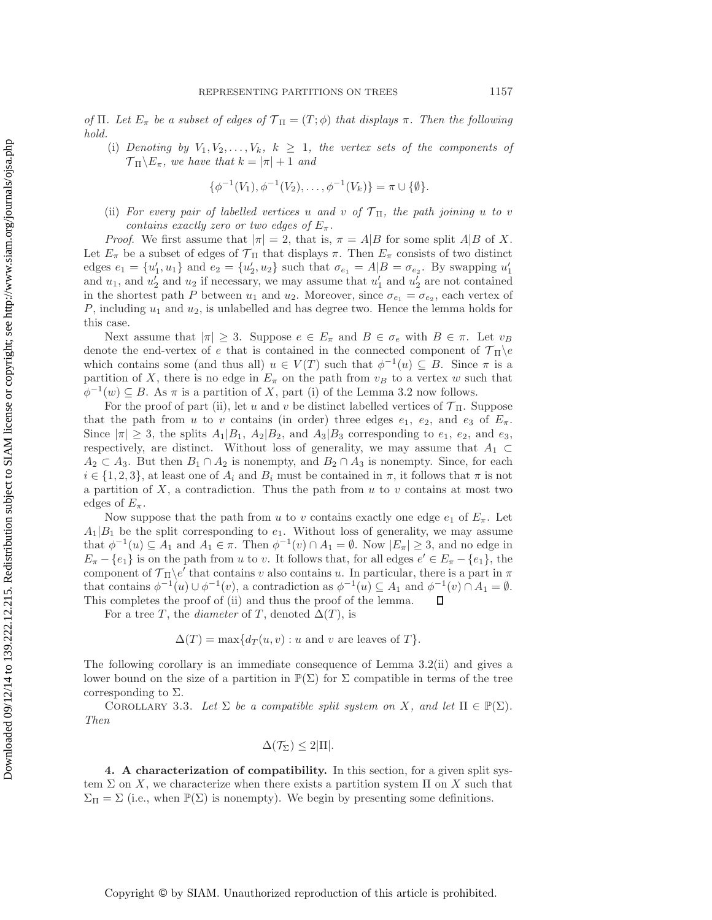Downloaded 09/12/14 to 139.222.12.215. Redistribution subject to SIAM license or copyright; see http://www.siam.org/journals/ojsa.php Downloaded 09/12/14 to 139.222.12.215. Redistribution subject to SIAM license or copyright; see http://www.siam.org/journals/ojsa.php

*of*  $\Pi$ *. Let*  $E_{\pi}$  *be a subset of edges of*  $\mathcal{T}_{\Pi} = (T, \phi)$  *that displays*  $\pi$ *. Then the following hold.*

(i) *Denoting by*  $V_1, V_2, \ldots, V_k, k \geq 1$ *, the vertex sets of the components of*  $\mathcal{T}_{\Pi}\backslash E_{\pi}$ , we have that  $k = |\pi| + 1$  and

$$
\{\phi^{-1}(V_1), \phi^{-1}(V_2), \dots, \phi^{-1}(V_k)\} = \pi \cup \{\emptyset\}.
$$

(ii) *For every pair of labelled vertices* u and v of  $\mathcal{T}_{\Pi}$ *, the path joining* u to v *contains exactly zero or two edges of*  $E_{\pi}$ .

*Proof.* We first assume that  $|\pi| = 2$ , that is,  $\pi = A|B$  for some split  $A|B$  of X. Let  $E_{\pi}$  be a subset of edges of  $\mathcal{T}_{\Pi}$  that displays  $\pi$ . Then  $E_{\pi}$  consists of two distinct edges  $e_1 = \{u'_1, u_1\}$  and  $e_2 = \{u'_2, u_2\}$  such that  $\sigma_{e_1} = A|B = \sigma_{e_2}$ . By swapping  $u'_1$ and  $u_1$ , and  $u_2'$  and  $u_2$  if necessary, we may assume that  $u_1'$  and  $u_2'$  are not contained in the shortest path P between  $u_1$  and  $u_2$ . Moreover, since  $\sigma_{e_1} = \sigma_{e_2}$ , each vertex of  $P$ , including  $u_1$  and  $u_2$ , is unlabelled and has degree two. Hence the lemma holds for this case.

Next assume that  $|\pi| \geq 3$ . Suppose  $e \in E_{\pi}$  and  $B \in \sigma_e$  with  $B \in \pi$ . Let  $v_B$ denote the end-vertex of e that is contained in the connected component of  $\mathcal{T}_{\Pi} \backslash e$ which contains some (and thus all)  $u \in V(T)$  such that  $\phi^{-1}(u) \subseteq B$ . Since  $\pi$  is a partition of X, there is no edge in  $E_{\pi}$  on the path from  $v_B$  to a vertex w such that  $\phi^{-1}(w) \subseteq B$ . As  $\pi$  is a partition of X, part (i) of the Lemma [3.2](#page-4-0) now follows.

For the proof of part (ii), let u and v be distinct labelled vertices of  $\mathcal{T}_{\Pi}$ . Suppose that the path from u to v contains (in order) three edges  $e_1$ ,  $e_2$ , and  $e_3$  of  $E_\pi$ . Since  $|\pi| \geq 3$ , the splits  $A_1|B_1, A_2|B_2$ , and  $A_3|B_3$  corresponding to  $e_1, e_2$ , and  $e_3$ , respectively, are distinct. Without loss of generality, we may assume that  $A_1 \subset$  $A_2 \subset A_3$ . But then  $B_1 \cap A_2$  is nonempty, and  $B_2 \cap A_3$  is nonempty. Since, for each  $i \in \{1,2,3\}$ , at least one of  $A_i$  and  $B_i$  must be contained in  $\pi$ , it follows that  $\pi$  is not a partition of  $X$ , a contradiction. Thus the path from  $u$  to  $v$  contains at most two edges of  $E_{\pi}$ .

Now suppose that the path from u to v contains exactly one edge  $e_1$  of  $E_\pi$ . Let  $A_1|B_1$  be the split corresponding to  $e_1$ . Without loss of generality, we may assume that  $\phi^{-1}(u) \subseteq A_1$  and  $A_1 \in \pi$ . Then  $\phi^{-1}(v) \cap A_1 = \emptyset$ . Now  $|E_{\pi}| \geq 3$ , and no edge in  $E_{\pi} - \{e_1\}$  is on the path from u to v. It follows that, for all edges  $e' \in E_{\pi} - \{e_1\}$ , the component of  $\mathcal{T}_{\Pi}\backslash e'$  that contains v also contains u. In particular, there is a part in  $\pi$ that contains  $\phi^{-1}(u) \cup \phi^{-1}(v)$ , a contradiction as  $\phi^{-1}(u) \subseteq A_1$  and  $\phi^{-1}(v) \cap A_1 = \emptyset$ .  $\Box$ This completes the proof of (ii) and thus the proof of the lemma.

For a tree T, the *diameter* of T, denoted  $\Delta(T)$ , is

$$
\Delta(T) = \max\{d_T(u, v) : u \text{ and } v \text{ are leaves of } T\}.
$$

The following corollary is an immediate consequence of Lemma [3.2\(](#page-4-0)ii) and gives a lower bound on the size of a partition in  $\mathbb{P}(\Sigma)$  for  $\Sigma$  compatible in terms of the tree corresponding to  $\Sigma$ .

<span id="page-5-1"></span>COROLLARY 3.3. Let  $\Sigma$  be a compatible split system on X, and let  $\Pi \in \mathbb{P}(\Sigma)$ . *Then*

$$
\Delta(\mathcal{T}_{\Sigma}) \leq 2|\Pi|.
$$

<span id="page-5-0"></span>**4. A characterization of compatibility.** In this section, for a given split system  $\Sigma$  on X, we characterize when there exists a partition system  $\Pi$  on X such that  $\Sigma_{\Pi} = \Sigma$  (i.e., when  $\mathbb{P}(\Sigma)$  is nonempty). We begin by presenting some definitions.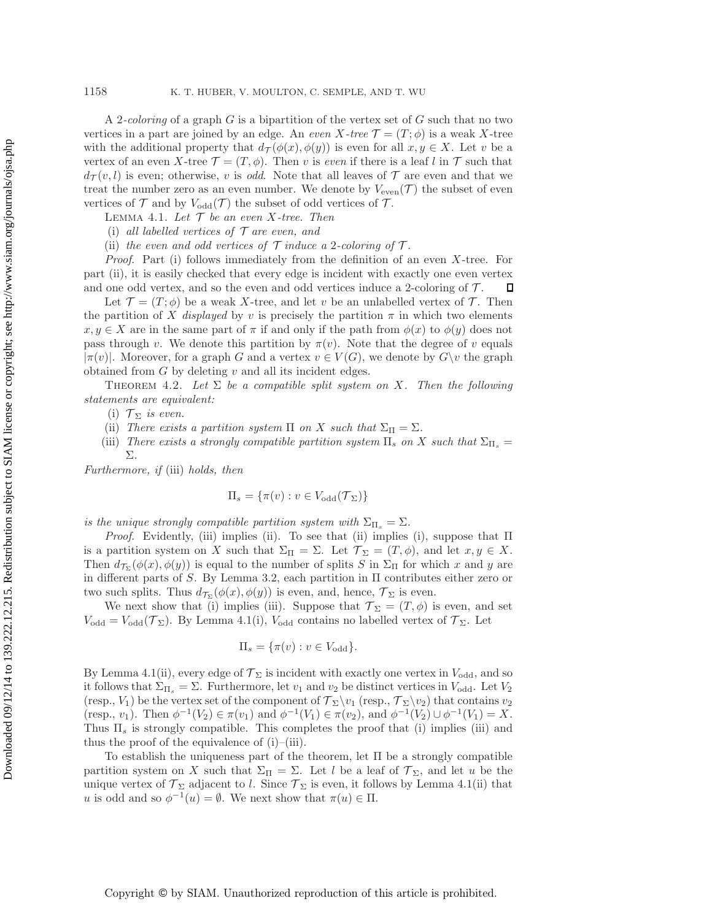A 2*-coloring* of a graph G is a bipartition of the vertex set of G such that no two vertices in a part are joined by an edge. An *even*  $X$ -tree  $\mathcal{T} = (T, \phi)$  is a weak X-tree with the additional property that  $d_{\mathcal{T}}(\phi(x), \phi(y))$  is even for all  $x, y \in X$ . Let v be a vertex of an even X-tree  $\mathcal{T} = (T, \phi)$ . Then v is *even* if there is a leaf l in  $\mathcal T$  such that  $d_{\mathcal{T}}(v,l)$  is even; otherwise, v is *odd*. Note that all leaves of  $\mathcal{T}$  are even and that we treat the number zero as an even number. We denote by  $V_{\text{even}}(\mathcal{T})$  the subset of even vertices of  $\mathcal T$  and by  $V_{\text{odd}}(\mathcal T)$  the subset of odd vertices of  $\mathcal T$ .

<span id="page-6-1"></span>Lemma 4.1. *Let* T *be an even* X*-tree. Then*

- (i) *all labelled vertices of* T *are even, and*
- (ii) *the even and odd vertices of*  $\mathcal{T}$  *induce a* 2*-coloring of*  $\mathcal{T}$ *.*

*Proof*. Part (i) follows immediately from the definition of an even X-tree. For part (ii), it is easily checked that every edge is incident with exactly one even vertex and one odd vertex, and so the even and odd vertices induce a 2-coloring of  $\mathcal{T}$ . Д

Let  $\mathcal{T} = (T, \phi)$  be a weak X-tree, and let v be an unlabelled vertex of T. Then the partition of X *displayed* by v is precisely the partition  $\pi$  in which two elements  $x, y \in X$  are in the same part of  $\pi$  if and only if the path from  $\phi(x)$  to  $\phi(y)$  does not pass through v. We denote this partition by  $\pi(v)$ . Note that the degree of v equals  $|\pi(v)|$ . Moreover, for a graph G and a vertex  $v \in V(G)$ , we denote by  $G\backslash v$  the graph obtained from  $G$  by deleting  $v$  and all its incident edges.

<span id="page-6-0"></span>THEOREM 4.2. Let  $\Sigma$  be a compatible split system on X. Then the following *statements are equivalent:*

(i)  $\mathcal{T}_{\Sigma}$  *is even.* 

- (ii) *There exists a partition system*  $\Pi$  *on* X *such that*  $\Sigma_{\Pi} = \Sigma$ *.*
- (iii) *There exists a strongly compatible partition system*  $\Pi_s$  *on* X *such that*  $\Sigma_{\Pi_s}$  = Σ*.*

*Furthermore, if* (iii) *holds, then*

$$
\Pi_s = \{\pi(v) : v \in V_{\text{odd}}(\mathcal{T}_{\Sigma})\}
$$

*is the unique strongly compatible partition system with*  $\Sigma_{\Pi_s} = \Sigma$ .

*Proof*. Evidently, (iii) implies (ii). To see that (ii) implies (i), suppose that Π is a partition system on X such that  $\Sigma_{\Pi} = \Sigma$ . Let  $\mathcal{T}_{\Sigma} = (T, \phi)$ , and let  $x, y \in X$ . Then  $d_{\mathcal{T}_{\Sigma}}(\phi(x), \phi(y))$  is equal to the number of splits S in  $\Sigma_{\Pi}$  for which x and y are in different parts of S. By Lemma [3.2,](#page-4-0) each partition in  $\Pi$  contributes either zero or two such splits. Thus  $d_{\mathcal{T}_{\Sigma}}(\phi(x), \phi(y))$  is even, and, hence,  $\mathcal{T}_{\Sigma}$  is even.

We next show that (i) implies (iii). Suppose that  $\mathcal{T}_{\Sigma} = (T,\phi)$  is even, and set  $V_{\text{odd}} = V_{\text{odd}}(\mathcal{T}_{\Sigma})$ . By Lemma [4.1\(](#page-6-1)i),  $V_{\text{odd}}$  contains no labelled vertex of  $\mathcal{T}_{\Sigma}$ . Let

$$
\Pi_s = \{\pi(v) : v \in V_{odd}\}.
$$

By Lemma [4.1\(](#page-6-1)ii), every edge of  $\mathcal{T}_{\Sigma}$  is incident with exactly one vertex in  $V_{\text{odd}}$ , and so it follows that  $\Sigma_{\Pi_s} = \Sigma$ . Furthermore, let  $v_1$  and  $v_2$  be distinct vertices in  $V_{\text{odd}}$ . Let  $V_2$ (resp.,  $V_1$ ) be the vertex set of the component of  $\mathcal{T}_{\Sigma}\backslash v_1$  (resp.,  $\mathcal{T}_{\Sigma}\backslash v_2$ ) that contains  $v_2$ (resp.,  $v_1$ ). Then  $\phi^{-1}(V_2) \in \pi(v_1)$  and  $\phi^{-1}(V_1) \in \pi(v_2)$ , and  $\phi^{-1}(V_2) \cup \phi^{-1}(V_1) = X$ . Thus  $\Pi_s$  is strongly compatible. This completes the proof that (i) implies (iii) and thus the proof of the equivalence of  $(i)$ – $(iii)$ .

To establish the uniqueness part of the theorem, let Π be a strongly compatible partition system on X such that  $\Sigma_{\Pi} = \Sigma$ . Let l be a leaf of  $\mathcal{T}_{\Sigma}$ , and let u be the unique vertex of  $\mathcal{T}_{\Sigma}$  adjacent to l. Since  $\mathcal{T}_{\Sigma}$  is even, it follows by Lemma [4.1\(](#page-6-1)ii) that u is odd and so  $\phi^{-1}(u) = \emptyset$ . We next show that  $\pi(u) \in \Pi$ .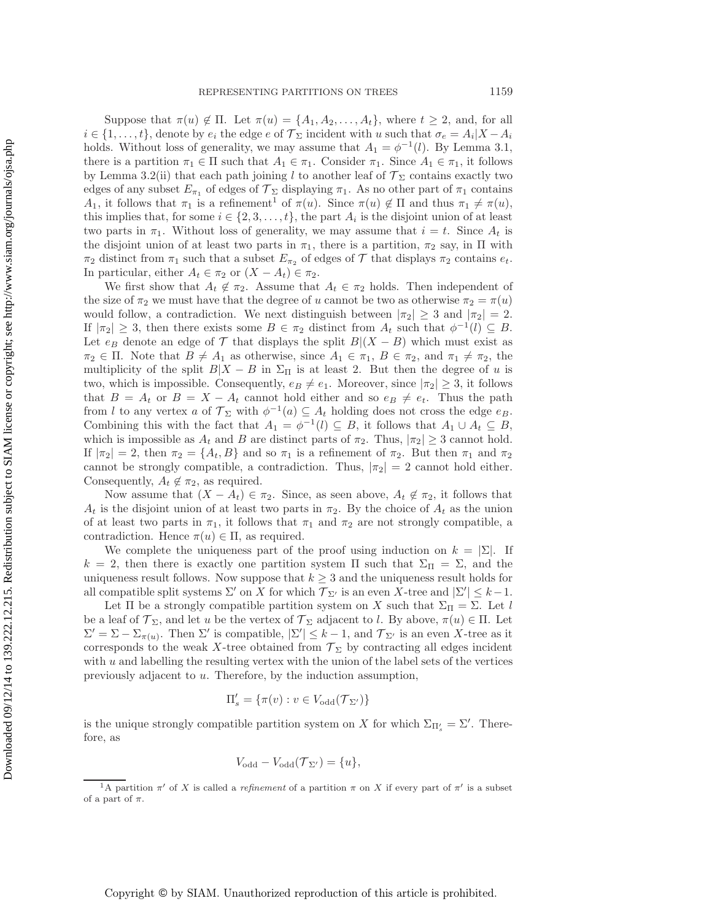Suppose that  $\pi(u) \notin \Pi$ . Let  $\pi(u) = \{A_1, A_2, \ldots, A_t\}$ , where  $t \geq 2$ , and, for all  $i \in \{1,\ldots,t\}$ , denote by  $e_i$  the edge  $e$  of  $\mathcal{T}_\Sigma$  incident with u such that  $\sigma_e = A_i |X - A_i|$ holds. Without loss of generality, we may assume that  $A_1 = \phi^{-1}(l)$ . By Lemma [3.1,](#page-4-1) there is a partition  $\pi_1 \in \Pi$  such that  $A_1 \in \pi_1$ . Consider  $\pi_1$ . Since  $A_1 \in \pi_1$ , it follows by Lemma [3.2\(](#page-4-0)ii) that each path joining l to another leaf of  $\mathcal{T}_{\Sigma}$  contains exactly two edges of any subset  $E_{\pi_1}$  of edges of  $\mathcal{T}_{\Sigma}$  displaying  $\pi_1$ . As no other part of  $\pi_1$  contains A<sub>[1](#page-7-0)</sub>, it follows that  $\pi_1$  is a refinement<sup>1</sup> of  $\pi(u)$ . Since  $\pi(u) \notin \Pi$  and thus  $\pi_1 \neq \pi(u)$ , this implies that, for some  $i \in \{2, 3, \ldots, t\}$ , the part  $A_i$  is the disjoint union of at least two parts in  $\pi_1$ . Without loss of generality, we may assume that  $i = t$ . Since  $A_t$  is the disjoint union of at least two parts in  $\pi_1$ , there is a partition,  $\pi_2$  say, in  $\Pi$  with  $\pi_2$  distinct from  $\pi_1$  such that a subset  $E_{\pi_2}$  of edges of  $\mathcal T$  that displays  $\pi_2$  contains  $e_t$ . In particular, either  $A_t \in \pi_2$  or  $(X - A_t) \in \pi_2$ .

We first show that  $A_t \notin \pi_2$ . Assume that  $A_t \in \pi_2$  holds. Then independent of the size of  $\pi_2$  we must have that the degree of u cannot be two as otherwise  $\pi_2 = \pi(u)$ would follow, a contradiction. We next distinguish between  $|\pi_2| \geq 3$  and  $|\pi_2| = 2$ . If  $|\pi_2| \geq 3$ , then there exists some  $B \in \pi_2$  distinct from  $A_t$  such that  $\phi^{-1}(l) \subseteq B$ . Let  $e_B$  denote an edge of T that displays the split  $B|(X - B)$  which must exist as  $\pi_2 \in \Pi$ . Note that  $B \neq A_1$  as otherwise, since  $A_1 \in \pi_1$ ,  $B \in \pi_2$ , and  $\pi_1 \neq \pi_2$ , the multiplicity of the split  $B|X - B$  in  $\Sigma_{\Pi}$  is at least 2. But then the degree of u is two, which is impossible. Consequently,  $e_B \neq e_1$ . Moreover, since  $|\pi_2| \geq 3$ , it follows that  $B = A_t$  or  $B = X - A_t$  cannot hold either and so  $e_B \neq e_t$ . Thus the path from l to any vertex a of  $\mathcal{T}_{\Sigma}$  with  $\phi^{-1}(a) \subseteq A_t$  holding does not cross the edge  $e_B$ . Combining this with the fact that  $A_1 = \phi^{-1}(l) \subseteq B$ , it follows that  $A_1 \cup A_t \subseteq B$ , which is impossible as  $A_t$  and B are distinct parts of  $\pi_2$ . Thus,  $|\pi_2| \geq 3$  cannot hold. If  $|\pi_2| = 2$ , then  $\pi_2 = \{A_t, B\}$  and so  $\pi_1$  is a refinement of  $\pi_2$ . But then  $\pi_1$  and  $\pi_2$ cannot be strongly compatible, a contradiction. Thus,  $|\pi_2| = 2$  cannot hold either. Consequently,  $A_t \notin \pi_2$ , as required.

Now assume that  $(X - A_t) \in \pi_2$ . Since, as seen above,  $A_t \notin \pi_2$ , it follows that  $A_t$  is the disjoint union of at least two parts in  $\pi_2$ . By the choice of  $A_t$  as the union of at least two parts in  $\pi_1$ , it follows that  $\pi_1$  and  $\pi_2$  are not strongly compatible, a contradiction. Hence  $\pi(u) \in \Pi$ , as required.

We complete the uniqueness part of the proof using induction on  $k = \sum$ . If  $k = 2$ , then there is exactly one partition system  $\Pi$  such that  $\Sigma_{\Pi} = \Sigma$ , and the uniqueness result follows. Now suppose that  $k \geq 3$  and the uniqueness result holds for all compatible split systems  $\Sigma'$  on X for which  $\mathcal{T}_{\Sigma'}$  is an even X-tree and  $|\Sigma'| \leq k-1$ .

Let  $\Pi$  be a strongly compatible partition system on X such that  $\Sigma_{\Pi} = \Sigma$ . Let l be a leaf of  $\mathcal{T}_{\Sigma}$ , and let u be the vertex of  $\mathcal{T}_{\Sigma}$  adjacent to l. By above,  $\pi(u) \in \Pi$ . Let  $\Sigma' = \Sigma - \Sigma_{\pi(u)}$ . Then  $\Sigma'$  is compatible,  $|\Sigma'| \leq k - 1$ , and  $\mathcal{T}_{\Sigma'}$  is an even X-tree as it corresponds to the weak X-tree obtained from  $\mathcal{T}_{\Sigma}$  by contracting all edges incident with  $u$  and labelling the resulting vertex with the union of the label sets of the vertices previously adjacent to u. Therefore, by the induction assumption,

$$
\Pi'_s = \{ \pi(v) : v \in V_{\text{odd}}(\mathcal{T}_{\Sigma'}) \}
$$

is the unique strongly compatible partition system on X for which  $\Sigma_{\Pi'_s} = \Sigma'$ . Therefore, as

$$
V_{\text{odd}} - V_{\text{odd}}(\mathcal{T}_{\Sigma'}) = \{u\},
$$

<span id="page-7-0"></span><sup>&</sup>lt;sup>1</sup>A partition  $\pi'$  of X is called a *refinement* of a partition  $\pi$  on X if every part of  $\pi'$  is a subset of a part of  $\pi$ .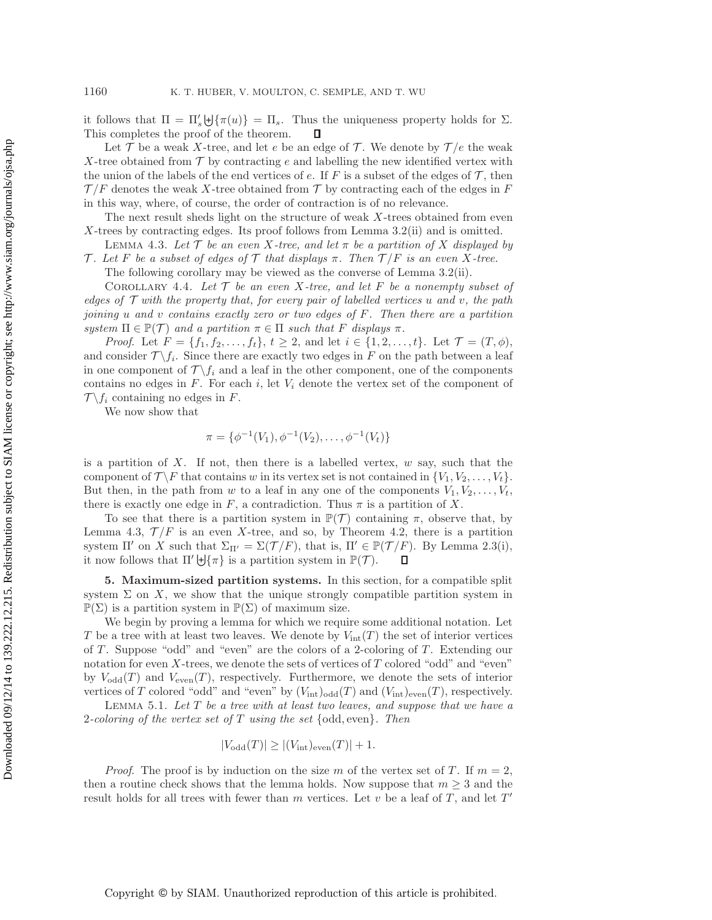it follows that  $\Pi = \Pi'_s \biguplus {\pi(u)} = \Pi_s$ . Thus the uniqueness property holds for  $\Sigma$ . This completes the proof of the theorem. П

Let T be a weak X-tree, and let e be an edge of T. We denote by  $\mathcal{T}/e$  the weak X-tree obtained from  $\mathcal T$  by contracting e and labelling the new identified vertex with the union of the labels of the end vertices of e. If F is a subset of the edges of  $\mathcal{T}$ , then  $\mathcal{T}/F$  denotes the weak X-tree obtained from T by contracting each of the edges in F in this way, where, of course, the order of contraction is of no relevance.

The next result sheds light on the structure of weak X-trees obtained from even X-trees by contracting edges. Its proof follows from Lemma [3.2\(](#page-4-0)ii) and is omitted.

<span id="page-8-1"></span>**LEMMA** 4.3. Let  $\mathcal T$  be an even X-tree, and let  $\pi$  be a partition of X displayed by T. Let F be a subset of edges of T that displays  $\pi$ . Then  $T/F$  is an even X-tree.

The following corollary may be viewed as the converse of Lemma [3.2\(](#page-4-0)ii).

<span id="page-8-3"></span>COROLLARY 4.4. Let  $\mathcal T$  be an even X-tree, and let  $F$  be a nonempty subset of *edges of* T *with the property that, for every pair of labelled vertices* u *and* v*, the path joining* u *and* v *contains exactly zero or two edges of* F*. Then there are a partition system*  $\Pi \in \mathbb{P}(\mathcal{T})$  *and a partition*  $\pi \in \Pi$  *such that* F *displays*  $\pi$ *.* 

*Proof.* Let  $F = \{f_1, f_2, \ldots, f_t\}, t \geq 2$ , and let  $i \in \{1, 2, \ldots, t\}$ . Let  $\mathcal{T} = (T, \phi)$ , and consider  $\mathcal{T} \backslash f_i$ . Since there are exactly two edges in F on the path between a leaf in one component of  $\mathcal{T} \backslash f_i$  and a leaf in the other component, one of the components contains no edges in  $F$ . For each i, let  $V_i$  denote the vertex set of the component of  $\mathcal{T} \backslash f_i$  containing no edges in F.

We now show that

$$
\pi = \{ \phi^{-1}(V_1), \phi^{-1}(V_2), \dots, \phi^{-1}(V_t) \}
$$

is a partition of X. If not, then there is a labelled vertex,  $w$  say, such that the component of  $\mathcal{T} \backslash F$  that contains w in its vertex set is not contained in  $\{V_1, V_2, \ldots, V_t\}$ . But then, in the path from w to a leaf in any one of the components  $V_1, V_2, \ldots, V_t$ , there is exactly one edge in F, a contradiction. Thus  $\pi$  is a partition of X.

To see that there is a partition system in  $\mathbb{P}(\mathcal{T})$  containing  $\pi$ , observe that, by Lemma [4.3,](#page-8-1)  $\mathcal{T}/F$  is an even X-tree, and so, by Theorem [4.2,](#page-6-0) there is a partition system  $\Pi'$  on X such that  $\Sigma_{\Pi'} = \Sigma(\mathcal{T}/F)$ , that is,  $\Pi' \in \mathbb{P}(\mathcal{T}/F)$ . By Lemma [2.3\(](#page-4-2)i), it now follows that  $\Pi' \biguplus {\pi}$  is a partition system in  $\mathbb{P}(\mathcal{T})$ .  $\Box$ 

<span id="page-8-0"></span>**5. Maximum-sized partition systems.** In this section, for a compatible split system  $\Sigma$  on X, we show that the unique strongly compatible partition system in  $\mathbb{P}(\Sigma)$  is a partition system in  $\mathbb{P}(\Sigma)$  of maximum size.

We begin by proving a lemma for which we require some additional notation. Let T be a tree with at least two leaves. We denote by  $V_{\text{int}}(T)$  the set of interior vertices of  $T$ . Suppose "odd" and "even" are the colors of a 2-coloring of  $T$ . Extending our notation for even  $X$ -trees, we denote the sets of vertices of  $T$  colored "odd" and "even" by  $V_{\text{odd}}(T)$  and  $V_{\text{even}}(T)$ , respectively. Furthermore, we denote the sets of interior vertices of T colored "odd" and "even" by  $(V_{\text{int}})_{\text{odd}}(T)$  and  $(V_{\text{int}})_{\text{even}}(T)$ , respectively.

<span id="page-8-2"></span>Lemma 5.1. *Let* T *be a tree with at least two leaves, and suppose that we have a* 2*-coloring of the vertex set of* T *using the set* {odd, even}*. Then*

$$
|V_{\text{odd}}(T)| \ge |(V_{\text{int}})_{\text{even}}(T)| + 1.
$$

*Proof.* The proof is by induction on the size m of the vertex set of T. If  $m = 2$ , then a routine check shows that the lemma holds. Now suppose that  $m \geq 3$  and the result holds for all trees with fewer than m vertices. Let  $v$  be a leaf of  $T$ , and let  $T'$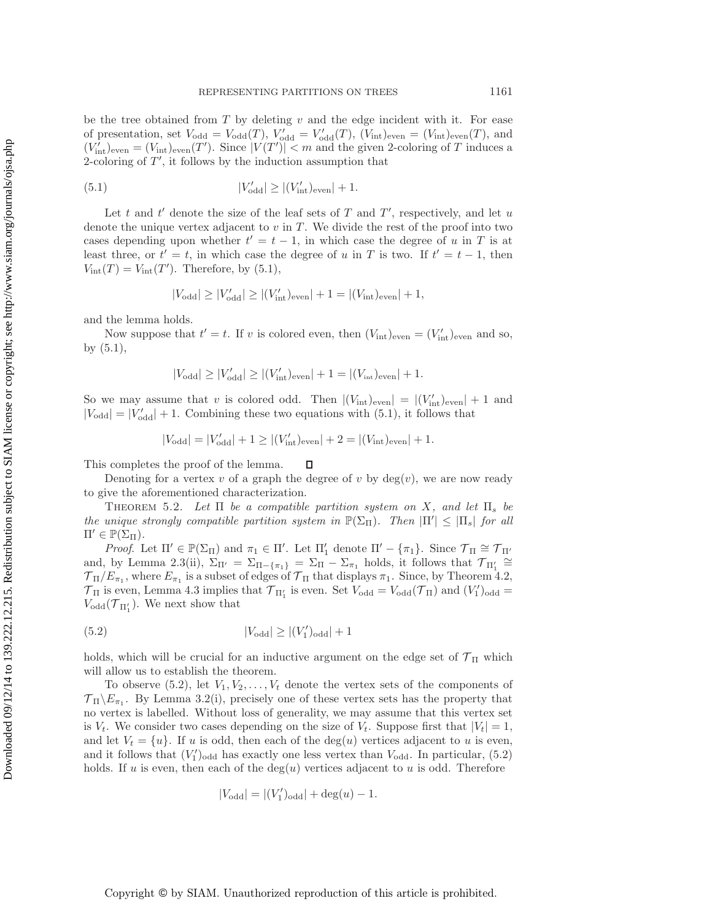be the tree obtained from  $T$  by deleting  $v$  and the edge incident with it. For ease of presentation, set  $V_{odd} = V_{odd}(T)$ ,  $V'_{odd} = V'_{odd}(T)$ ,  $(V_{int})_{even} = (V_{int})_{even}(T)$ , and  $(V'_{\text{int}})_{\text{even}} = (V_{\text{int}})_{\text{even}}(T')$ . Since  $|V(T')| < m$  and the given 2-coloring of T induces a 2-coloring of  $T'$ , it follows by the induction assumption that

<span id="page-9-0"></span>(5.1) 
$$
|V'_{\text{odd}}| \ge |(V'_{\text{int}})_{\text{even}}| + 1.
$$

Let t and  $t'$  denote the size of the leaf sets of T and  $T'$ , respectively, and let u denote the unique vertex adjacent to  $v$  in  $T$ . We divide the rest of the proof into two cases depending upon whether  $t' = t - 1$ , in which case the degree of u in T is at least three, or  $t' = t$ , in which case the degree of u in T is two. If  $t' = t - 1$ , then  $V_{\text{int}}(T) = V_{\text{int}}(T')$ . Therefore, by [\(5.1\)](#page-9-0),

$$
|V_{\text{odd}}| \ge |V'_{\text{odd}}| \ge |(V'_{\text{int}})_{\text{even}}| + 1 = |(V_{\text{int}})_{\text{even}}| + 1,
$$

and the lemma holds.

Now suppose that  $t' = t$ . If v is colored even, then  $(V_{\text{int}})_{\text{even}} = (V'_{\text{int}})_{\text{even}}$  and so, by [\(5.1\)](#page-9-0),

$$
|V_{\text{odd}}| \ge |V'_{\text{odd}}| \ge |(V'_{\text{int}})_{\text{even}}| + 1 = |(V_{\text{int}})_{\text{even}}| + 1.
$$

So we may assume that v is colored odd. Then  $|(V_{\text{int}})_{\text{even}}| = |(V'_{\text{int}})_{\text{even}}| + 1$  and  $|V_{\text{odd}}| = |V'_{\text{odd}}| + 1$ . Combining these two equations with [\(5.1\)](#page-9-0), it follows that

$$
|V_{\text{odd}}| = |V_{\text{odd}}'| + 1 \ge |(V_{\text{int}}')_{\text{even}}| + 2 = |(V_{\text{int}})_{\text{even}}| + 1.
$$

This completes the proof of the lemma.  $\Box$ 

Denoting for a vertex v of a graph the degree of v by  $deg(v)$ , we are now ready to give the aforementioned characterization.

<span id="page-9-2"></span>THEOREM 5.2. Let  $\Pi$  be a compatible partition system on X, and let  $\Pi_s$  be *the unique strongly compatible partition system in*  $\mathbb{P}(\Sigma_{\Pi})$ *. Then*  $|\Pi'| \leq |\Pi_s|$  *for all*  $\Pi' \in \mathbb{P}(\Sigma_{\Pi}).$ 

*Proof.* Let  $\Pi' \in \mathbb{P}(\Sigma_{\Pi})$  and  $\pi_1 \in \Pi'$ . Let  $\Pi'_1$  denote  $\Pi' - {\pi_1}$ . Since  $\mathcal{T}_{\Pi} \cong \mathcal{T}_{\Pi'}$ and, by Lemma [2.3\(](#page-4-2)ii),  $\Sigma_{\Pi'} = \Sigma_{\Pi - \{\pi_1\}} = \Sigma_{\Pi} - \Sigma_{\pi_1}$  holds, it follows that  $\mathcal{T}_{\Pi'_1} \cong$  $\mathcal{T}_{\Pi}/E_{\pi_1}$ , where  $E_{\pi_1}$  is a subset of edges of  $\mathcal{T}_{\Pi}$  that displays  $\pi_1$ . Since, by Theorem [4.2,](#page-6-0)  $\mathcal{T}_{\Pi}$  is even, Lemma [4.3](#page-8-1) implies that  $\mathcal{T}_{\Pi'_1}$  is even. Set  $V_{odd} = V_{odd}(\mathcal{T}_{\Pi})$  and  $(V'_1)_{odd} =$  $V_{\text{odd}}(\mathcal{T}_{\Pi_1'})$ . We next show that

<span id="page-9-1"></span>
$$
(5.2) \t\t |V_{\text{odd}}| \ge |(V_1')_{\text{odd}}| + 1
$$

holds, which will be crucial for an inductive argument on the edge set of  $\mathcal{T}_{\Pi}$  which will allow us to establish the theorem.

To observe  $(5.2)$ , let  $V_1, V_2, \ldots, V_t$  denote the vertex sets of the components of  $\mathcal{T}_{\Pi}\backslash E_{\pi_1}$ . By Lemma [3.2\(](#page-4-0)i), precisely one of these vertex sets has the property that no vertex is labelled. Without loss of generality, we may assume that this vertex set is  $V_t$ . We consider two cases depending on the size of  $V_t$ . Suppose first that  $|V_t| = 1$ , and let  $V_t = \{u\}$ . If u is odd, then each of the deg(u) vertices adjacent to u is even, and it follows that  $(V'_1)_{odd}$  has exactly one less vertex than  $V_{odd}$ . In particular, [\(5.2\)](#page-9-1) holds. If u is even, then each of the  $deg(u)$  vertices adjacent to u is odd. Therefore

$$
|V_{\text{odd}}| = |(V_1')_{\text{odd}}| + \deg(u) - 1.
$$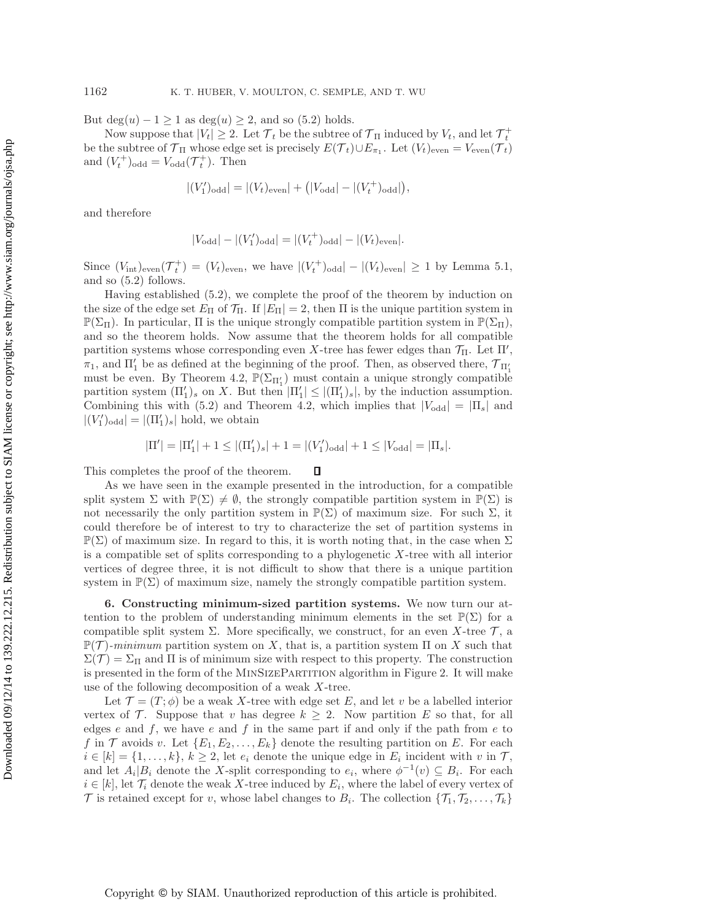But  $\deg(u) - 1 \ge 1$  as  $\deg(u) \ge 2$ , and so [\(5.2\)](#page-9-1) holds.

Now suppose that  $|V_t| \geq 2$ . Let  $\mathcal{T}_t$  be the subtree of  $\mathcal{T}_{\Pi}$  induced by  $V_t$ , and let  $\mathcal{T}_t^+$ be the subtree of  $\mathcal{T}_{\Pi}$  whose edge set is precisely  $E(\mathcal{T}_t) \cup E_{\pi_1}$ . Let  $(V_t)_{\text{even}} = V_{\text{even}}(\mathcal{T}_t)$ and  $(V_t^+)_{\text{odd}} = V_{\text{odd}}(T_t^+)$ . Then

$$
|(V'_1)_{\text{odd}}| = |(V_t)_{\text{even}}| + (|V_{\text{odd}}| - |(V_t^+)_{\text{odd}}|),
$$

and therefore

$$
|V_{\text{odd}}| - |(V_1')_{\text{odd}}| = |(V_t^+)_{\text{odd}}| - |(V_t)_{\text{even}}|.
$$

Since  $(V_{\text{int}})_{\text{even}}(\mathcal{T}_t^+) = (V_t)_{\text{even}}$ , we have  $|(V_t^+)_{\text{odd}}|-|(V_t)_{\text{even}}| \geq 1$  by Lemma [5.1,](#page-8-2) and so [\(5.2\)](#page-9-1) follows.

Having established [\(5.2\)](#page-9-1), we complete the proof of the theorem by induction on the size of the edge set  $E_{\Pi}$  of  $\mathcal{T}_{\Pi}$ . If  $|E_{\Pi}| = 2$ , then  $\Pi$  is the unique partition system in  $\mathbb{P}(\Sigma_{\Pi})$ . In particular,  $\Pi$  is the unique strongly compatible partition system in  $\mathbb{P}(\Sigma_{\Pi})$ , and so the theorem holds. Now assume that the theorem holds for all compatible partition systems whose corresponding even X-tree has fewer edges than  $\mathcal{T}_{\Pi}$ . Let  $\Pi'$ ,  $\pi_1$ , and  $\Pi'_1$  be as defined at the beginning of the proof. Then, as observed there,  $\mathcal{T}_{\Pi'_1}$ must be even. By Theorem [4.2,](#page-6-0)  $\mathbb{P}(\Sigma_{\Pi'_1})$  must contain a unique strongly compatible partition system  $(\Pi'_1)_s$  on X. But then  $|\Pi'_1| \leq |(\Pi'_1)_s|$ , by the induction assumption. Combining this with [\(5.2\)](#page-9-1) and Theorem [4.2,](#page-6-0) which implies that  $|V_{\text{odd}}| = |\Pi_s|$  and  $|(V'_1)_{\text{odd}}| = |(\Pi'_1)_s|$  hold, we obtain

$$
|\Pi'| = |\Pi'_1| + 1 \le |(\Pi'_1)_s| + 1 = |(V'_1)_{\text{odd}}| + 1 \le |V_{\text{odd}}| = |\Pi_s|.
$$

This completes the proof of the theorem.  $\Box$ 

As we have seen in the example presented in the introduction, for a compatible split system  $\Sigma$  with  $\mathbb{P}(\Sigma) \neq \emptyset$ , the strongly compatible partition system in  $\mathbb{P}(\Sigma)$  is not necessarily the only partition system in  $\mathbb{P}(\Sigma)$  of maximum size. For such  $\Sigma$ , it could therefore be of interest to try to characterize the set of partition systems in  $\mathbb{P}(\Sigma)$  of maximum size. In regard to this, it is worth noting that, in the case when  $\Sigma$ is a compatible set of splits corresponding to a phylogenetic  $X$ -tree with all interior vertices of degree three, it is not difficult to show that there is a unique partition system in  $\mathbb{P}(\Sigma)$  of maximum size, namely the strongly compatible partition system.

<span id="page-10-0"></span>**6. Constructing minimum-sized partition systems.** We now turn our attention to the problem of understanding minimum elements in the set  $\mathbb{P}(\Sigma)$  for a compatible split system  $\Sigma$ . More specifically, we construct, for an even X-tree  $\mathcal{T}$ , a  $\mathbb{P}(\mathcal{T})$ -*minimum* partition system on X, that is, a partition system  $\Pi$  on X such that  $\Sigma(\mathcal{T})=\Sigma_{\Pi}$  and  $\Pi$  is of minimum size with respect to this property. The construction is presented in the form of the MinSizePartition algorithm in Figure [2.](#page-11-0) It will make use of the following decomposition of a weak X-tree.

Let  $\mathcal{T} = (T, \phi)$  be a weak X-tree with edge set E, and let v be a labelled interior vertex of  $\mathcal T$ . Suppose that v has degree  $k \geq 2$ . Now partition E so that, for all edges e and  $f$ , we have e and  $f$  in the same part if and only if the path from  $e$  to f in T avoids v. Let  $\{E_1, E_2, \ldots, E_k\}$  denote the resulting partition on E. For each  $i \in [k] = \{1, \ldots, k\}, k \geq 2$ , let  $e_i$  denote the unique edge in  $E_i$  incident with v in  $\mathcal{T}$ , and let  $A_i|B_i$  denote the X-split corresponding to  $e_i$ , where  $\phi^{-1}(v) \subseteq B_i$ . For each  $i \in [k]$ , let  $\mathcal{T}_i$  denote the weak X-tree induced by  $E_i$ , where the label of every vertex of  $\mathcal T$  is retained except for v, whose label changes to  $B_i$ . The collection  $\{\mathcal T_1, \mathcal T_2, \ldots, \mathcal T_k\}$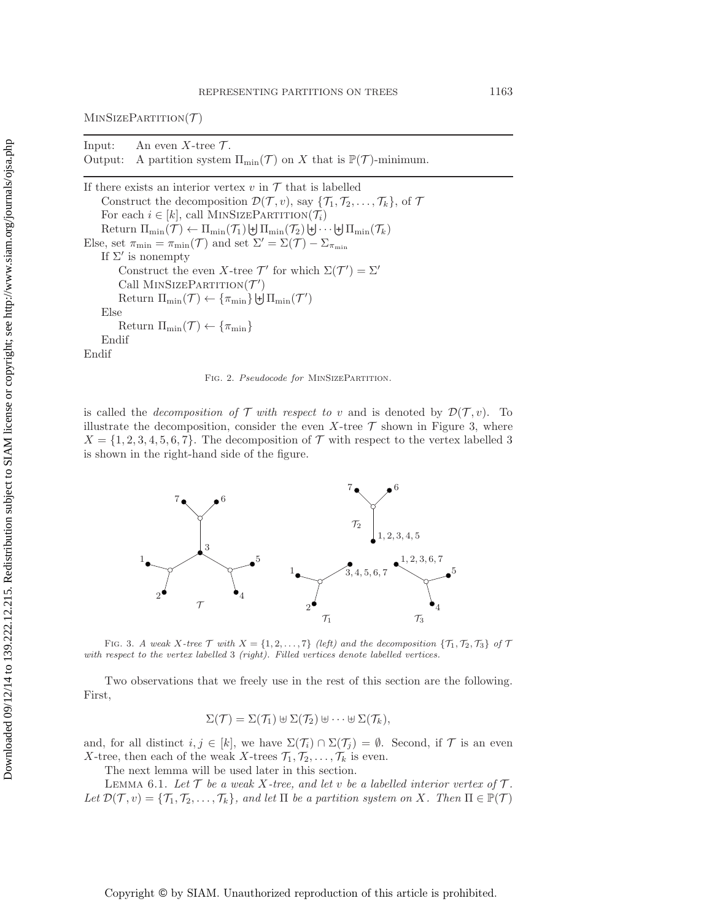Input: An even  $X$ -tree  $\mathcal{T}$ . Output: A partition system  $\Pi_{\min}(\mathcal{T})$  on X that is  $\mathbb{P}(\mathcal{T})$ -minimum.

If there exists an interior vertex  $v$  in  $\mathcal T$  that is labelled Construct the decomposition  $\mathcal{D}(\mathcal{T}, v)$ , say  $\{\mathcal{T}_1, \mathcal{T}_2, \ldots, \mathcal{T}_k\}$ , of  $\mathcal{T}$ For each  $i \in [k]$ , call MINSIZEPARTITION( $\mathcal{T}_i$ ) Return  $\Pi_{\min}(\mathcal{T}) \leftarrow \Pi_{\min}(\mathcal{T}_1) \biguplus \Pi_{\min}(\mathcal{T}_2) \biguplus \cdots \biguplus \Pi_{\min}(\mathcal{T}_k)$ Else, set  $\pi_{\min} = \pi_{\min}(\mathcal{T})$  and set  $\Sigma' = \Sigma(\mathcal{T}) - \Sigma_{\pi_{\min}}$ If  $\Sigma'$  is nonempty Construct the even X-tree  $\mathcal{T}'$  for which  $\Sigma(\mathcal{T}') = \Sigma'$ Call  $MINSIZEPARTITION(T')$ Return  $\Pi_{\min}(\mathcal{T}) \leftarrow {\lbrace \pi_{\min} \rbrace} \biguplus \Pi_{\min}(\mathcal{T}')$ Else Return  $\Pi_{\min}(\mathcal{T}) \leftarrow {\lbrace \pi_{\min} \rbrace}$ Endif Endif

<span id="page-11-0"></span>FIG. 2. *Pseudocode for* MINSIZEPARTITION.

is called the *decomposition of*  $\mathcal T$  *with respect to* v and is denoted by  $\mathcal D(\mathcal T, v)$ . To illustrate the decomposition, consider the even X-tree  $\mathcal T$  shown in Figure [3,](#page-11-1) where  $X = \{1, 2, 3, 4, 5, 6, 7\}$ . The decomposition of  $\mathcal T$  with respect to the vertex labelled 3 is shown in the right-hand side of the figure.



<span id="page-11-1"></span>FIG. 3. *A weak*  $X$ -tree  $\mathcal T$  with  $X = \{1, 2, ..., 7\}$  *(left) and the decomposition*  $\{T_1, T_2, T_3\}$  *of*  $\mathcal T$ *with respect to the vertex labelled* 3 *(right). Filled vertices denote labelled vertices.*

Two observations that we freely use in the rest of this section are the following. First,

$$
\Sigma(\mathcal{T}) = \Sigma(\mathcal{T}_1) \boxplus \Sigma(\mathcal{T}_2) \boxplus \cdots \boxplus \Sigma(\mathcal{T}_k),
$$

and, for all distinct  $i, j \in [k]$ , we have  $\Sigma(\mathcal{T}_i) \cap \Sigma(\mathcal{T}_j) = \emptyset$ . Second, if  $\mathcal{T}$  is an even X-tree, then each of the weak X-trees  $\mathcal{T}_1, \mathcal{T}_2, \ldots, \mathcal{T}_k$  is even.

The next lemma will be used later in this section.

<span id="page-11-2"></span>LEMMA 6.1. Let  $\mathcal T$  be a weak X-tree, and let v be a labelled interior vertex of  $\mathcal T$ . *Let*  $\mathcal{D}(\mathcal{T}, v) = {\mathcal{T}_1, \mathcal{T}_2, ..., \mathcal{T}_k}$ *, and let*  $\Pi$  *be a partition system on* X*. Then*  $\Pi \in \mathbb{P}(\mathcal{T})$ 

Copyright © by SIAM. Unauthorized reproduction of this article is prohibited.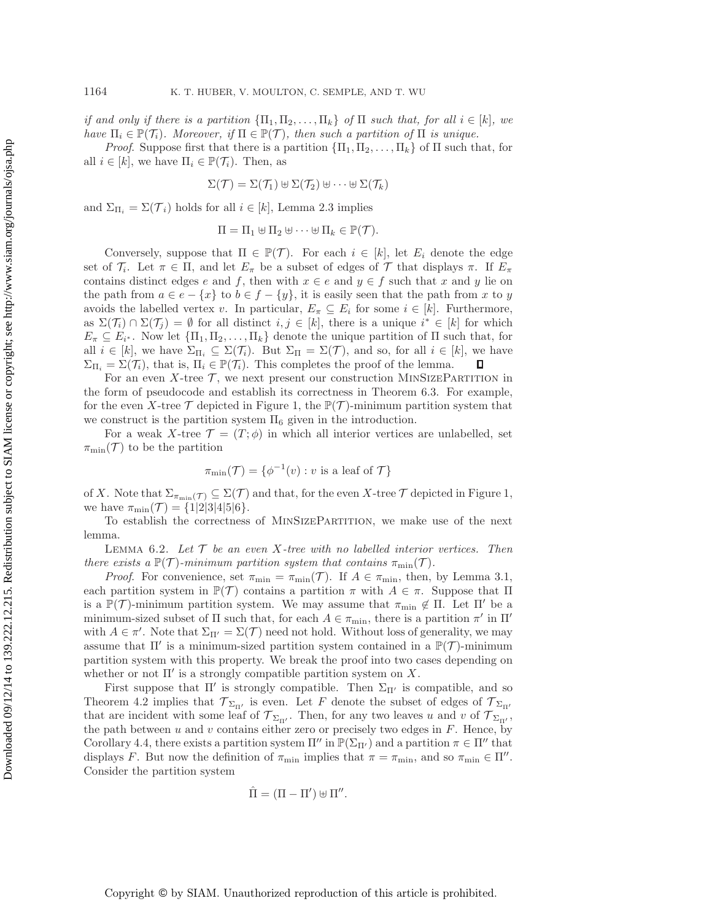*if and only if there is a partition*  ${\{\Pi_1, \Pi_2, ..., \Pi_k\}}$  *of*  ${\Pi}$  *such that, for all*  $i \in [k]$ *, we have*  $\Pi_i \in \mathbb{P}(\mathcal{T}_i)$ *. Moreover, if*  $\Pi \in \mathbb{P}(\mathcal{T})$ *, then such a partition of*  $\Pi$  *is unique.* 

*Proof.* Suppose first that there is a partition  ${\{\Pi_1, \Pi_2, ..., \Pi_k\}}$  of  $\Pi$  such that, for all  $i \in [k]$ , we have  $\Pi_i \in \mathbb{P}(\mathcal{T}_i)$ . Then, as

$$
\Sigma(\mathcal{T}) = \Sigma(\mathcal{T}_1) \uplus \Sigma(\mathcal{T}_2) \uplus \cdots \uplus \Sigma(\mathcal{T}_k)
$$

and  $\Sigma_{\Pi_i} = \Sigma(\mathcal{T}_i)$  holds for all  $i \in [k]$ , Lemma [2.3](#page-4-2) implies

$$
\Pi = \Pi_1 \uplus \Pi_2 \uplus \cdots \uplus \Pi_k \in \mathbb{P}(\mathcal{T}).
$$

Conversely, suppose that  $\Pi \in \mathbb{P}(\mathcal{T})$ . For each  $i \in [k]$ , let  $E_i$  denote the edge set of  $\mathcal{T}_i$ . Let  $\pi \in \Pi$ , and let  $E_{\pi}$  be a subset of edges of  $\mathcal T$  that displays  $\pi$ . If  $E_{\pi}$ contains distinct edges e and f, then with  $x \in e$  and  $y \in f$  such that x and y lie on the path from  $a \in e - \{x\}$  to  $b \in f - \{y\}$ , it is easily seen that the path from x to y avoids the labelled vertex v. In particular,  $E_{\pi} \subseteq E_i$  for some  $i \in [k]$ . Furthermore, as  $\Sigma(\mathcal{T}_i) \cap \Sigma(\mathcal{T}_j) = \emptyset$  for all distinct  $i, j \in [k]$ , there is a unique  $i^* \in [k]$  for which  $E_{\pi} \subseteq E_{i^*}$ . Now let  $\{\Pi_1, \Pi_2, \ldots, \Pi_k\}$  denote the unique partition of  $\Pi$  such that, for all  $i \in [k]$ , we have  $\Sigma_{\Pi_i} \subseteq \Sigma(\mathcal{T}_i)$ . But  $\Sigma_{\Pi} = \Sigma(\mathcal{T})$ , and so, for all  $i \in [k]$ , we have  $\Sigma_{\Pi_i} = \Sigma(\mathcal{T}_i)$ , that is,  $\Pi_i \in \mathbb{P}(\mathcal{T}_i)$ . This completes the proof of the lemma.  $\Box$ 

For an even  $X$ -tree  $\mathcal T$ , we next present our construction MINSIZEPARTITION in the form of pseudocode and establish its correctness in Theorem [6.3.](#page-13-0) For example, for the even X-tree  $\mathcal T$  depicted in Figure [1,](#page-1-0) the  $\mathbb P(\mathcal T)$ -minimum partition system that we construct is the partition system  $\Pi_6$  given in the introduction.

For a weak X-tree  $\mathcal{T} = (T, \phi)$  in which all interior vertices are unlabelled, set  $\pi_{\min}(\mathcal{T})$  to be the partition

$$
\pi_{\min}(\mathcal{T}) = \{ \phi^{-1}(v) : v \text{ is a leaf of } \mathcal{T} \}
$$

of X. Note that  $\Sigma_{\pi_{\min}(\mathcal{T})} \subseteq \Sigma(\mathcal{T})$  and that, for the even X-tree  $\mathcal{T}$  depicted in Figure [1,](#page-1-0) we have  $\pi_{\min}(\mathcal{T}) = \{1|2|3|4|5|6\}.$ 

To establish the correctness of MinSizePartition, we make use of the next lemma.

<span id="page-12-0"></span>Lemma 6.2. *Let* T *be an even* X*-tree with no labelled interior vertices. Then there exists a*  $\mathbb{P}(\mathcal{T})$ *-minimum partition system that contains*  $\pi_{\min}(\mathcal{T})$ *.* 

*Proof.* For convenience, set  $\pi_{\min} = \pi_{\min}(\mathcal{T})$ . If  $A \in \pi_{\min}$ , then, by Lemma [3.1,](#page-4-1) each partition system in  $\mathbb{P}(\mathcal{T})$  contains a partition  $\pi$  with  $A \in \pi$ . Suppose that  $\Pi$ is a  $\mathbb{P}(\mathcal{T})$ -minimum partition system. We may assume that  $\pi_{\min} \notin \Pi$ . Let  $\Pi'$  be a minimum-sized subset of  $\Pi$  such that, for each  $A \in \pi_{\min}$ , there is a partition  $\pi'$  in  $\Pi'$ with  $A \in \pi'$ . Note that  $\Sigma_{\Pi'} = \Sigma(\mathcal{T})$  need not hold. Without loss of generality, we may assume that  $\Pi'$  is a minimum-sized partition system contained in a  $\mathbb{P}(\mathcal{T})$ -minimum partition system with this property. We break the proof into two cases depending on whether or not  $\Pi'$  is a strongly compatible partition system on X.

First suppose that  $\Pi'$  is strongly compatible. Then  $\Sigma_{\Pi'}$  is compatible, and so Theorem [4.2](#page-6-0) implies that  $\mathcal{T}_{\Sigma_{\Pi'}}$  is even. Let F denote the subset of edges of  $\mathcal{T}_{\Sigma_{\Pi'}}$ that are incident with some leaf of  $\mathcal{T}_{\Sigma_{\Pi'}}$ . Then, for any two leaves u and v of  $\mathcal{T}_{\Sigma_{\Pi'}}$ , the path between u and v contains either zero or precisely two edges in  $F$ . Hence, by Corollary [4.4,](#page-8-3) there exists a partition system  $\Pi''$  in  $\mathbb{P}(\Sigma_{\Pi'})$  and a partition  $\pi \in \Pi''$  that displays F. But now the definition of  $\pi_{\min}$  implies that  $\pi = \pi_{\min}$ , and so  $\pi_{\min} \in \Pi''$ . Consider the partition system

$$
\hat{\Pi} = (\Pi - \Pi') \uplus \Pi''.
$$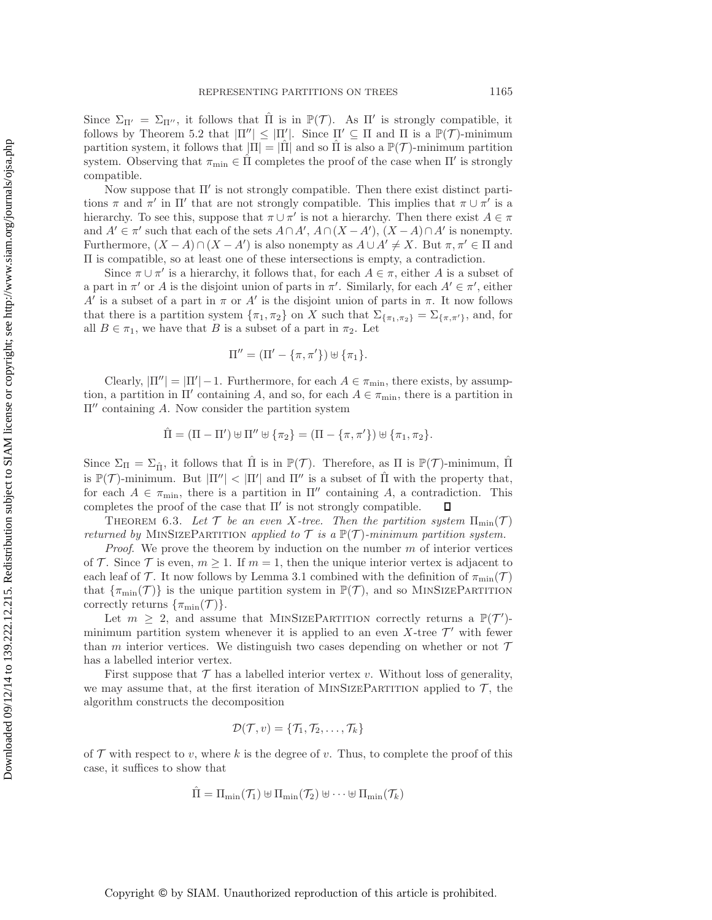Since  $\Sigma_{\Pi'} = \Sigma_{\Pi''}$ , it follows that  $\hat{\Pi}$  is in  $\mathbb{P}(\mathcal{T})$ . As  $\Pi'$  is strongly compatible, it follows by Theorem [5.2](#page-9-2) that  $|\Pi''| \leq |\Pi'|$ . Since  $\Pi' \subseteq \Pi$  and  $\Pi$  is a  $\mathbb{P}(\mathcal{T})$ -minimum partition system, it follows that  $|\Pi| = |\Pi|$  and so  $\Pi$  is also a  $\mathbb{P}(\mathcal{T})$ -minimum partition system. Observing that  $\pi_{\min} \in \Pi$  completes the proof of the case when  $\Pi'$  is strongly compatible.

Now suppose that  $\Pi'$  is not strongly compatible. Then there exist distinct partitions  $\pi$  and  $\pi'$  in  $\Pi'$  that are not strongly compatible. This implies that  $\pi \cup \pi'$  is a hierarchy. To see this, suppose that  $\pi \cup \pi'$  is not a hierarchy. Then there exist  $A \in \pi$ and  $A' \in \pi'$  such that each of the sets  $A \cap A'$ ,  $A \cap (X - A')$ ,  $(X - A) \cap A'$  is nonempty. Furthermore,  $(X - A) \cap (X - A')$  is also nonempty as  $A \cup A' \neq X$ . But  $\pi, \pi' \in \Pi$  and Π is compatible, so at least one of these intersections is empty, a contradiction.

Since  $\pi \cup \pi'$  is a hierarchy, it follows that, for each  $A \in \pi$ , either A is a subset of a part in  $\pi'$  or A is the disjoint union of parts in  $\pi'$ . Similarly, for each  $A' \in \pi'$ , either A' is a subset of a part in  $\pi$  or A' is the disjoint union of parts in  $\pi$ . It now follows that there is a partition system  $\{\pi_1, \pi_2\}$  on X such that  $\Sigma_{\{\pi_1, \pi_2\}} = \Sigma_{\{\pi, \pi'\}}$ , and, for all  $B \in \pi_1$ , we have that B is a subset of a part in  $\pi_2$ . Let

$$
\Pi'' = (\Pi' - \{\pi, \pi'\}) \uplus \{\pi_1\}.
$$

Clearly,  $|\Pi''| = |\Pi'| - 1$ . Furthermore, for each  $A \in \pi_{\min}$ , there exists, by assumption, a partition in  $\Pi'$  containing A, and so, for each  $A \in \pi_{\min}$ , there is a partition in  $\Pi''$  containing A. Now consider the partition system

$$
\hat{\Pi} = (\Pi - \Pi') \uplus \Pi'' \uplus {\pi_2} = (\Pi - {\pi, \pi'}) \uplus {\pi_1, \pi_2}.
$$

Since  $\Sigma_{\Pi} = \Sigma_{\hat{\Pi}}$ , it follows that  $\Pi$  is in  $\mathbb{P}(\mathcal{T})$ . Therefore, as  $\Pi$  is  $\mathbb{P}(\mathcal{T})$ -minimum,  $\Pi$ is  $\mathbb{P}(\mathcal{T})$ -minimum. But  $|\Pi''| < |\Pi'|$  and  $\Pi''$  is a subset of  $\hat{\Pi}$  with the property that, for each  $A \in \pi_{\min}$ , there is a partition in  $\Pi''$  containing A, a contradiction. This completes the proof of the case that  $\Pi'$  is not strongly compatible.  $\Box$ 

<span id="page-13-0"></span>THEOREM 6.3. Let  $\mathcal T$  be an even X-tree. Then the partition system  $\Pi_{\min}(\mathcal T)$ *returned by* MINSIZEPARTITION *applied to*  $\mathcal T$  *is a*  $\mathbb P(\mathcal T)$ *-minimum partition system.* 

*Proof*. We prove the theorem by induction on the number m of interior vertices of T. Since T is even,  $m \geq 1$ . If  $m = 1$ , then the unique interior vertex is adjacent to each leaf of T. It now follows by Lemma [3.1](#page-4-1) combined with the definition of  $\pi_{\min}(\mathcal{T})$ that  $\{\pi_{\min}(\mathcal{T})\}$  is the unique partition system in  $\mathbb{P}(\mathcal{T})$ , and so MINSIZEPARTITION correctly returns  $\{\pi_{\min}(\mathcal{T})\}.$ 

Let  $m \geq 2$ , and assume that MINSIZEPARTITION correctly returns a  $\mathbb{P}(\mathcal{T}')$ minimum partition system whenever it is applied to an even X-tree  $\mathcal{T}'$  with fewer than m interior vertices. We distinguish two cases depending on whether or not  $\mathcal T$ has a labelled interior vertex.

First suppose that  $\mathcal T$  has a labelled interior vertex v. Without loss of generality, we may assume that, at the first iteration of MINSIZEPARTITION applied to  $\mathcal{T}$ , the algorithm constructs the decomposition

$$
\mathcal{D}(\mathcal{T},v) = \{\mathcal{T}_1,\mathcal{T}_2,\ldots,\mathcal{T}_k\}
$$

of  $\mathcal T$  with respect to v, where k is the degree of v. Thus, to complete the proof of this case, it suffices to show that

$$
\hat{\Pi} = \Pi_{\min}(\mathcal{T}_1) \uplus \Pi_{\min}(\mathcal{T}_2) \uplus \cdots \uplus \Pi_{\min}(\mathcal{T}_k)
$$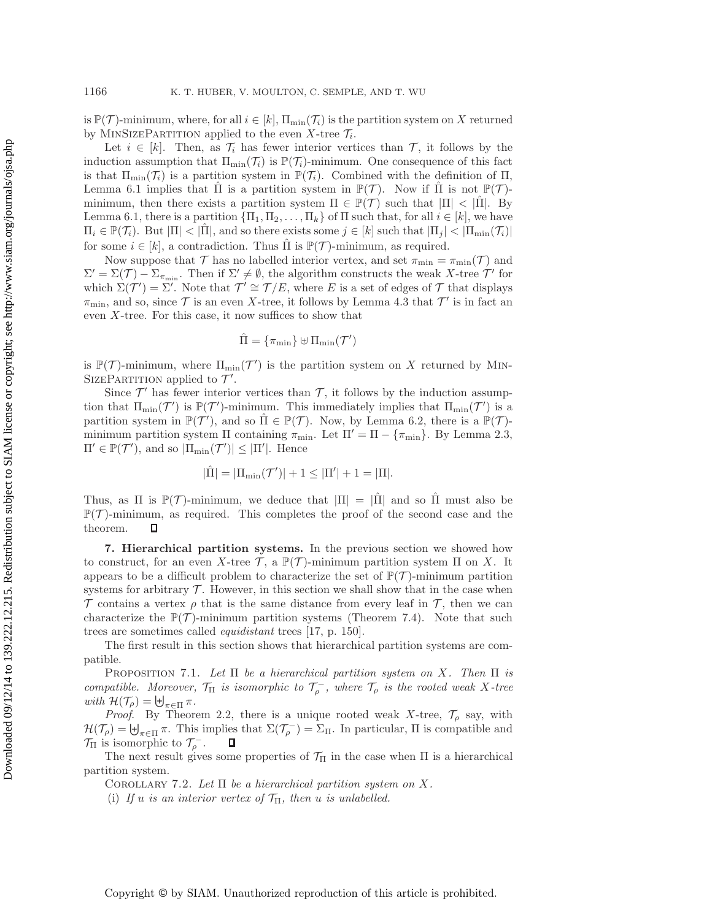is  $\mathbb{P}(\mathcal{T})$ -minimum, where, for all  $i \in [k]$ ,  $\Pi_{\min}(\mathcal{T}_i)$  is the partition system on X returned by MINSIZEPARTITION applied to the even X-tree  $\mathcal{T}_i$ .

Let  $i \in [k]$ . Then, as  $\mathcal{T}_i$  has fewer interior vertices than  $\mathcal{T}_i$ , it follows by the induction assumption that  $\Pi_{\min}(\mathcal{T}_i)$  is  $\mathbb{P}(\mathcal{T}_i)$ -minimum. One consequence of this fact is that  $\Pi_{\min}(\mathcal{T}_i)$  is a partition system in  $\mathbb{P}(\mathcal{T}_i)$ . Combined with the definition of  $\Pi$ , Lemma [6.1](#page-11-2) implies that  $\Pi$  is a partition system in  $\mathbb{P}(\mathcal{T})$ . Now if  $\Pi$  is not  $\mathbb{P}(\mathcal{T})$ minimum, then there exists a partition system  $\Pi \in \mathbb{P}(\mathcal{T})$  such that  $|\Pi| < |\Pi|$ . By Lemma [6.1,](#page-11-2) there is a partition  ${\{\Pi_1, \Pi_2, \ldots, \Pi_k\}}$  of  $\Pi$  such that, for all  $i \in [k]$ , we have  $\Pi_i \in \mathbb{P}(\mathcal{T}_i)$ . But  $|\Pi| < |\Pi|$ , and so there exists some  $j \in [k]$  such that  $|\Pi_j| < |\Pi_{\min}(\mathcal{T}_i)|$ for some  $i \in [k]$ , a contradiction. Thus  $\overline{\Pi}$  is  $\mathbb{P}(\mathcal{T})$ -minimum, as required.

Now suppose that  $\mathcal T$  has no labelled interior vertex, and set  $\pi_{\min} = \pi_{\min}(\mathcal T)$  and  $\Sigma' = \Sigma(\mathcal{T}) - \Sigma_{\pi_{\min}}$ . Then if  $\Sigma' \neq \emptyset$ , the algorithm constructs the weak X-tree  $\mathcal{T}'$  for which  $\Sigma(\mathcal{T}') = \Sigma'$ . Note that  $\mathcal{T}' \cong \mathcal{T}/E$ , where E is a set of edges of T that displays  $\pi_{\min}$ , and so, since  $\mathcal T$  is an even X-tree, it follows by Lemma [4.3](#page-8-1) that  $\mathcal T'$  is in fact an even  $X$ -tree. For this case, it now suffices to show that

$$
\hat{\Pi} = \{\pi_{\min}\} \uplus \Pi_{\min}(\mathcal{T}')
$$

is  $\mathbb{P}(\mathcal{T})$ -minimum, where  $\Pi_{\min}(\mathcal{T}')$  is the partition system on X returned by MIN-SIZEPARTITION applied to  $\mathcal{T}'$ .

Since  $\mathcal{T}'$  has fewer interior vertices than  $\mathcal{T}$ , it follows by the induction assumption that  $\Pi_{\min}(\mathcal{T}')$  is  $\mathbb{P}(\mathcal{T}')$ -minimum. This immediately implies that  $\Pi_{\min}(\mathcal{T}')$  is a partition system in  $\mathbb{P}(\mathcal{T}')$ , and so  $\hat{\Pi} \in \mathbb{P}(\mathcal{T})$ . Now, by Lemma [6.2,](#page-12-0) there is a  $\mathbb{P}(\mathcal{T})$ minimum partition system Π containing  $\pi_{\min}$ . Let  $\Pi' = \Pi - \{\pi_{\min}\}\.$  By Lemma [2.3,](#page-4-2)  $\Pi' \in \mathbb{P}(\mathcal{T}')$ , and so  $|\Pi_{\min}(\mathcal{T}')| \leq |\Pi'|$ . Hence

$$
|\hat{\Pi}| = |\Pi_{\min}(\mathcal{T}')| + 1 \leq |\Pi'| + 1 = |\Pi|.
$$

Thus, as  $\Pi$  is  $\mathbb{P}(\mathcal{T})$ -minimum, we deduce that  $|\Pi| = |\Pi|$  and so  $\Pi$  must also be  $\mathbb{P}(\mathcal{T})$ -minimum, as required. This completes the proof of the second case and the theorem.  $\Box$ 

**7. Hierarchical partition systems.** In the previous section we showed how to construct, for an even X-tree  $\mathcal{T}$ , a  $\mathbb{P}(\mathcal{T})$ -minimum partition system  $\Pi$  on X. It appears to be a difficult problem to characterize the set of  $\mathbb{P}(\mathcal{T})$ -minimum partition systems for arbitrary  $\mathcal T$ . However, in this section we shall show that in the case when T contains a vertex  $\rho$  that is the same distance from every leaf in T, then we can characterize the  $\mathbb{P}(\mathcal{T})$ -minimum partition systems (Theorem [7.4\)](#page-16-0). Note that such trees are sometimes called *equidistant* trees [\[17,](#page-20-5) p. 150].

The first result in this section shows that hierarchical partition systems are compatible.

<span id="page-14-0"></span>Proposition 7.1. *Let* Π *be a hierarchical partition system on* X*. Then* Π *is compatible.* Moreover,  $\mathcal{T}_{\Pi}$  *is isomorphic to*  $\mathcal{T}_{o}^{-}$ *, where*  $\mathcal{T}_{o}$  *is the rooted weak* X-tree  $with \mathcal{H}(\mathcal{T}_{\rho}) = \biguplus_{\pi \in \Pi} \pi.$ 

*Proof.* By Theorem [2.2,](#page-4-3) there is a unique rooted weak X-tree,  $\mathcal{T}_{\rho}$  say, with  $\mathcal{H}(\mathcal{T}_{\rho}) = \biguplus_{\pi \in \Pi} \pi$ . This implies that  $\Sigma(\mathcal{T}_{\rho}^{-}) = \Sigma_{\Pi}$ . In particular,  $\Pi$  is compatible and  $\mathcal{T}_{\Pi}$  is isomorphic to  $\mathcal{T}_{\rho}^{-}$ .  $\Box$ 

<span id="page-14-1"></span>The next result gives some properties of  $\mathcal{T}_{\Pi}$  in the case when  $\Pi$  is a hierarchical partition system.

Corollary 7.2. *Let* Π *be a hierarchical partition system on* X*.*

(i) If u is an interior vertex of  $\mathcal{T}_{\Pi}$ , then u is unlabelled.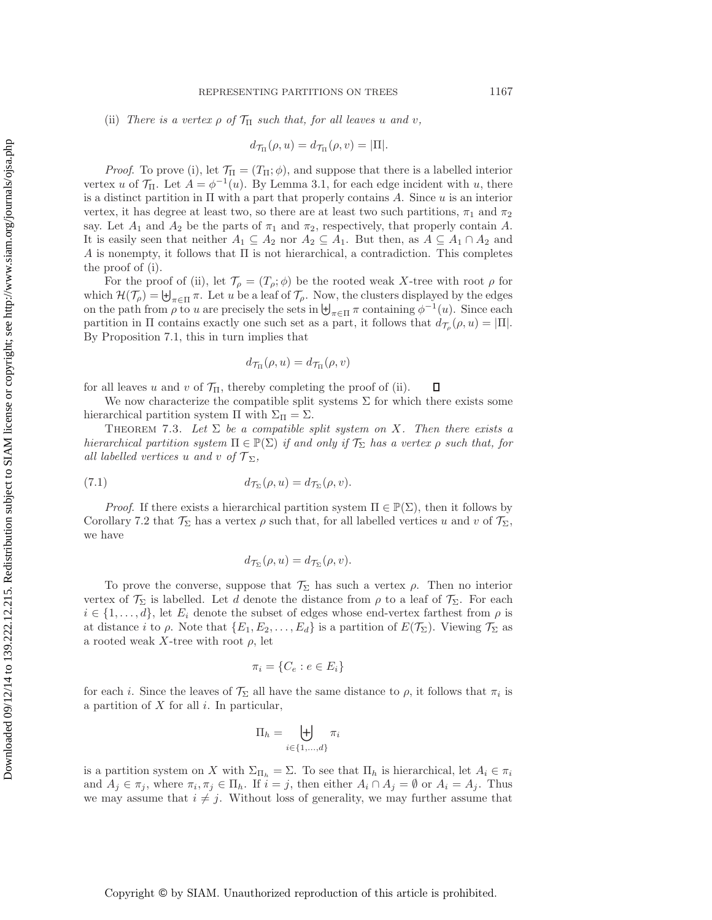(ii) *There is a vertex*  $\rho$  *of*  $\mathcal{T}_{\Pi}$  *such that, for all leaves u and v*,

$$
d_{\mathcal{T}_{\Pi}}(\rho, u) = d_{\mathcal{T}_{\Pi}}(\rho, v) = |\Pi|.
$$

*Proof.* To prove (i), let  $\mathcal{T}_{\Pi} = (T_{\Pi}; \phi)$ , and suppose that there is a labelled interior vertex u of  $\mathcal{T}_{\Pi}$ . Let  $A = \phi^{-1}(u)$ . By Lemma [3.1,](#page-4-1) for each edge incident with u, there is a distinct partition in  $\Pi$  with a part that properly contains A. Since u is an interior vertex, it has degree at least two, so there are at least two such partitions,  $\pi_1$  and  $\pi_2$ say. Let  $A_1$  and  $A_2$  be the parts of  $\pi_1$  and  $\pi_2$ , respectively, that properly contain A. It is easily seen that neither  $A_1 \subseteq A_2$  nor  $A_2 \subseteq A_1$ . But then, as  $A \subseteq A_1 \cap A_2$  and A is nonempty, it follows that  $\Pi$  is not hierarchical, a contradiction. This completes the proof of (i).

For the proof of (ii), let  $\mathcal{T}_{\rho} = (T_{\rho}; \phi)$  be the rooted weak X-tree with root  $\rho$  for which  $\mathcal{H}(\mathcal{T}_{\rho}) = \biguplus_{\pi \in \Pi} \pi$ . Let u be a leaf of  $\mathcal{T}_{\rho}$ . Now, the clusters displayed by the edges on the path from  $\rho$  to u are precisely the sets in  $\biguplus_{\pi\in\Pi}\pi$  containing  $\phi^{-1}(u)$ . Since each partition in  $\Pi$  contains exactly one such set as a part, it follows that  $d_{\mathcal{T}_o}(\rho, u) = |\Pi|$ . By Proposition [7.1,](#page-14-0) this in turn implies that

$$
d_{\mathcal{T}_{\Pi}}(\rho, u) = d_{\mathcal{T}_{\Pi}}(\rho, v)
$$

for all leaves u and v of  $\mathcal{T}_{\Pi}$ , thereby completing the proof of (ii).  $\Box$ 

We now characterize the compatible split systems  $\Sigma$  for which there exists some hierarchical partition system Π with  $\Sigma_{\Pi} = \Sigma$ .

<span id="page-15-0"></span>THEOREM 7.3. Let  $\Sigma$  be a compatible split system on X. Then there exists a *hierarchical partition system*  $\Pi \in \mathbb{P}(\Sigma)$  *if and only if*  $\mathcal{T}_{\Sigma}$  *has a vertex*  $\rho$  *such that, for all labelled vertices* u *and* v of  $\mathcal{T}_{\Sigma}$ ,

(7.1) 
$$
d_{\mathcal{T}_{\Sigma}}(\rho, u) = d_{\mathcal{T}_{\Sigma}}(\rho, v).
$$

*Proof.* If there exists a hierarchical partition system  $\Pi \in \mathbb{P}(\Sigma)$ , then it follows by Corollary [7.2](#page-14-1) that  $\mathcal{T}_{\Sigma}$  has a vertex  $\rho$  such that, for all labelled vertices u and v of  $\mathcal{T}_{\Sigma}$ , we have

$$
d_{\mathcal{T}_{\Sigma}}(\rho, u) = d_{\mathcal{T}_{\Sigma}}(\rho, v).
$$

To prove the converse, suppose that  $\mathcal{T}_{\Sigma}$  has such a vertex  $\rho$ . Then no interior vertex of  $\mathcal{T}_{\Sigma}$  is labelled. Let d denote the distance from  $\rho$  to a leaf of  $\mathcal{T}_{\Sigma}$ . For each  $i \in \{1, \ldots, d\}$ , let  $E_i$  denote the subset of edges whose end-vertex farthest from  $\rho$  is at distance i to  $\rho$ . Note that  $\{E_1, E_2, \ldots, E_d\}$  is a partition of  $E(\mathcal{T}_{\Sigma})$ . Viewing  $\mathcal{T}_{\Sigma}$  as a rooted weak X-tree with root  $\rho$ , let

$$
\pi_i = \{C_e : e \in E_i\}
$$

for each i. Since the leaves of  $\mathcal{T}_{\Sigma}$  all have the same distance to  $\rho$ , it follows that  $\pi_i$  is a partition of  $X$  for all  $i$ . In particular,

$$
\Pi_h = \biguplus_{i \in \{1, \dots, d\}} \pi_i
$$

is a partition system on X with  $\Sigma_{\Pi_h} = \Sigma$ . To see that  $\Pi_h$  is hierarchical, let  $A_i \in \pi_i$ and  $A_j \in \pi_j$ , where  $\pi_i, \pi_j \in \Pi_h$ . If  $i = j$ , then either  $A_i \cap A_j = \emptyset$  or  $A_i = A_j$ . Thus we may assume that  $i \neq j$ . Without loss of generality, we may further assume that

Copyright © by SIAM. Unauthorized reproduction of this article is prohibited.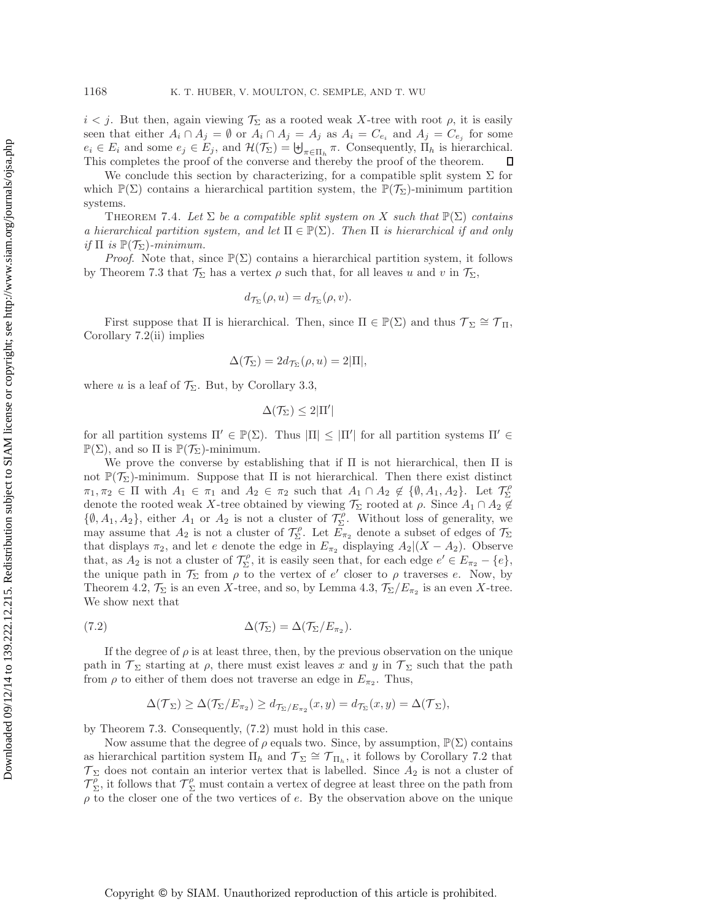$i < j$ . But then, again viewing  $\mathcal{T}_{\Sigma}$  as a rooted weak X-tree with root  $\rho$ , it is easily seen that either  $A_i \cap A_j = \emptyset$  or  $A_i \cap A_j = A_j$  as  $A_i = C_{e_i}$  and  $A_j = C_{e_j}$  for some  $e_i \in E_i$  and some  $e_j \in E_j$ , and  $\mathcal{H}(\mathcal{T}_{\Sigma}) = \biguplus_{\pi \in \Pi_h} \pi$ . Consequently,  $\Pi_h$  is hierarchical. This completes the proof of the converse and thereby the proof of the theorem.

We conclude this section by characterizing, for a compatible split system  $\Sigma$  for which  $\mathbb{P}(\Sigma)$  contains a hierarchical partition system, the  $\mathbb{P}(\mathcal{T}_{\Sigma})$ -minimum partition systems.

<span id="page-16-0"></span>THEOREM 7.4. Let  $\Sigma$  be a compatible split system on X such that  $\mathbb{P}(\Sigma)$  contains *a hierarchical partition system, and let*  $\Pi \in \mathbb{P}(\Sigma)$ *. Then*  $\Pi$  *is hierarchical if and only if*  $\Pi$  *is*  $\mathbb{P}(\mathcal{T}_{\Sigma})$ *-minimum.* 

*Proof.* Note that, since  $\mathbb{P}(\Sigma)$  contains a hierarchical partition system, it follows by Theorem [7.3](#page-15-0) that  $\mathcal{T}_{\Sigma}$  has a vertex  $\rho$  such that, for all leaves u and v in  $\mathcal{T}_{\Sigma}$ ,

$$
d_{\mathcal{T}_{\Sigma}}(\rho, u) = d_{\mathcal{T}_{\Sigma}}(\rho, v).
$$

First suppose that  $\Pi$  is hierarchical. Then, since  $\Pi \in \mathbb{P}(\Sigma)$  and thus  $\mathcal{T}_{\Sigma} \cong \mathcal{T}_{\Pi}$ , Corollary [7.2\(](#page-14-1)ii) implies

$$
\Delta(\mathcal{T}_{\Sigma}) = 2d_{\mathcal{T}_{\Sigma}}(\rho, u) = 2|\Pi|,
$$

where u is a leaf of  $\mathcal{T}_{\Sigma}$ . But, by Corollary [3.3,](#page-5-1)

$$
\Delta(\mathcal{T}_{\Sigma}) \leq 2|\Pi'|
$$

for all partition systems  $\Pi' \in \mathbb{P}(\Sigma)$ . Thus  $|\Pi| \leq |\Pi'|$  for all partition systems  $\Pi' \in$  $\mathbb{P}(\Sigma)$ , and so  $\Pi$  is  $\mathbb{P}(\mathcal{T}_{\Sigma})$ -minimum.

We prove the converse by establishing that if  $\Pi$  is not hierarchical, then  $\Pi$  is not  $\mathbb{P}(\mathcal{T}_{\Sigma})$ -minimum. Suppose that  $\Pi$  is not hierarchical. Then there exist distinct  $\pi_1, \pi_2 \in \Pi$  with  $A_1 \in \pi_1$  and  $A_2 \in \pi_2$  such that  $A_1 \cap A_2 \notin \{\emptyset, A_1, A_2\}$ . Let  $\mathcal{T}_{\Sigma}^{\rho}$ denote the rooted weak X-tree obtained by viewing  $\mathcal{T}_{\Sigma}$  rooted at  $\rho$ . Since  $A_1 \cap A_2 \notin$  $\{\emptyset, A_1, A_2\}$ , either  $A_1$  or  $A_2$  is not a cluster of  $\mathcal{T}_{\Sigma}^{\rho}$ . Without loss of generality, we may assume that  $A_2$  is not a cluster of  $\mathcal{T}_{\Sigma}^{\rho}$ . Let  $E_{\pi_2}$  denote a subset of edges of  $\mathcal{T}_{\Sigma}$ that displays  $\pi_2$ , and let e denote the edge in  $E_{\pi_2}$  displaying  $A_2|(X - A_2)$ . Observe that, as  $A_2$  is not a cluster of  $\mathcal{T}_{\Sigma}^{\rho}$ , it is easily seen that, for each edge  $e' \in E_{\pi_2} - \{e\}$ , the unique path in  $\mathcal{T}_{\Sigma}$  from  $\rho$  to the vertex of  $e'$  closer to  $\rho$  traverses e. Now, by Theorem [4.2,](#page-6-0)  $\mathcal{T}_{\Sigma}$  is an even X-tree, and so, by Lemma [4.3,](#page-8-1)  $\mathcal{T}_{\Sigma}/E_{\pi_2}$  is an even X-tree. We show next that

<span id="page-16-1"></span>(7.2) 
$$
\Delta(\mathcal{T}_{\Sigma}) = \Delta(\mathcal{T}_{\Sigma}/E_{\pi_2}).
$$

If the degree of  $\rho$  is at least three, then, by the previous observation on the unique path in  $\mathcal{T}_{\Sigma}$  starting at  $\rho$ , there must exist leaves x and y in  $\mathcal{T}_{\Sigma}$  such that the path from  $\rho$  to either of them does not traverse an edge in  $E_{\pi_2}$ . Thus,

$$
\Delta(\mathcal{T}_{\Sigma}) \geq \Delta(\mathcal{T}_{\Sigma}/E_{\pi_2}) \geq d_{\mathcal{T}_{\Sigma}/E_{\pi_2}}(x, y) = d_{\mathcal{T}_{\Sigma}}(x, y) = \Delta(\mathcal{T}_{\Sigma}),
$$

by Theorem [7.3.](#page-15-0) Consequently, [\(7.2\)](#page-16-1) must hold in this case.

Now assume that the degree of  $\rho$  equals two. Since, by assumption,  $\mathbb{P}(\Sigma)$  contains as hierarchical partition system  $\Pi_h$  and  $\mathcal{T}_\Sigma \cong \mathcal{T}_{\Pi_h}$ , it follows by Corollary [7.2](#page-14-1) that  $\mathcal{T}_{\Sigma}$  does not contain an interior vertex that is labelled. Since  $A_2$  is not a cluster of  $\mathcal{T}_{\Sigma}^{\rho}$ , it follows that  $\mathcal{T}_{\Sigma}^{\rho}$  must contain a vertex of degree at least three on the path from  $\rho$  to the closer one of the two vertices of e. By the observation above on the unique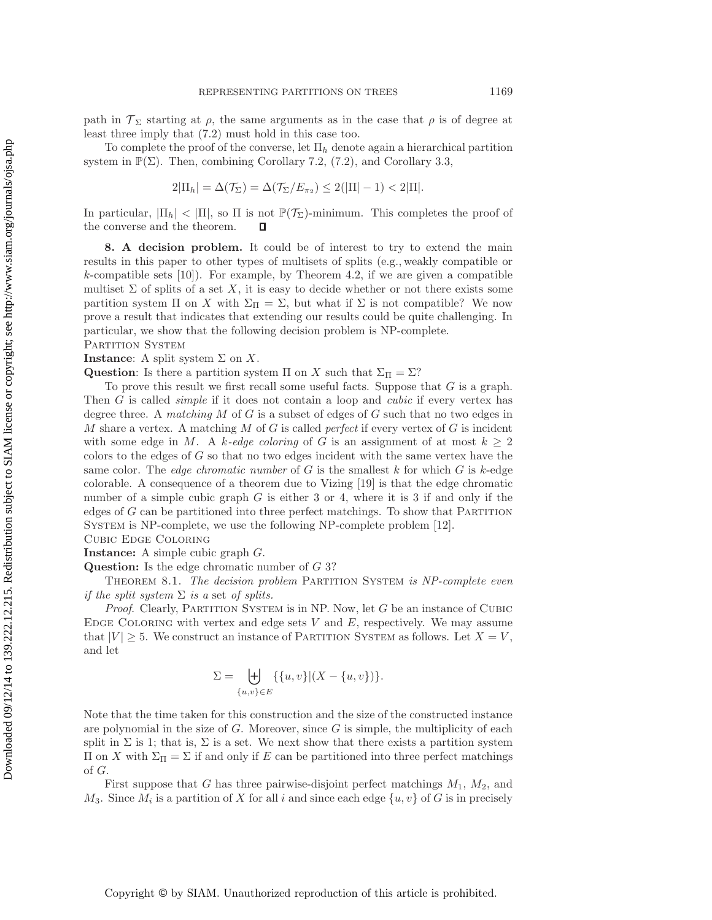path in  $\mathcal{T}_{\Sigma}$  starting at  $\rho$ , the same arguments as in the case that  $\rho$  is of degree at least three imply that [\(7.2\)](#page-16-1) must hold in this case too.

To complete the proof of the converse, let  $\Pi_h$  denote again a hierarchical partition system in  $\mathbb{P}(\Sigma)$ . Then, combining Corollary [7.2,](#page-14-1) [\(7.2\)](#page-16-1), and Corollary [3.3,](#page-5-1)

$$
2|\Pi_h| = \Delta(\mathcal{T}_{\Sigma}) = \Delta(\mathcal{T}_{\Sigma}/E_{\pi_2}) \le 2(|\Pi| - 1) < 2|\Pi|.
$$

In particular,  $|\Pi_h| < |\Pi|$ , so  $\Pi$  is not  $\mathbb{P}(\mathcal{T}_{\Sigma})$ -minimum. This completes the proof of the converse and the theorem.  $\Box$ 

<span id="page-17-0"></span>**8. A decision problem.** It could be of interest to try to extend the main results in this paper to other types of multisets of splits (e.g., weakly compatible or  $k$ -compatible sets [\[10\]](#page-20-9)). For example, by Theorem [4.2,](#page-6-0) if we are given a compatible multiset  $\Sigma$  of splits of a set X, it is easy to decide whether or not there exists some partition system  $\Pi$  on X with  $\Sigma_{\Pi} = \Sigma$ , but what if  $\Sigma$  is not compatible? We now prove a result that indicates that extending our results could be quite challenging. In particular, we show that the following decision problem is NP-complete. PARTITION SYSTEM

## **Instance**: A split system  $\Sigma$  on  $X$ .

**Question**: Is there a partition system  $\Pi$  on X such that  $\Sigma_{\Pi} = \Sigma$ ?

To prove this result we first recall some useful facts. Suppose that  $G$  is a graph. Then G is called *simple* if it does not contain a loop and *cubic* if every vertex has degree three. A *matching* M of G is a subset of edges of G such that no two edges in M share a vertex. A matching M of G is called *perfect* if every vertex of G is incident with some edge in M. A k-edge coloring of G is an assignment of at most  $k \geq 2$ colors to the edges of  $G$  so that no two edges incident with the same vertex have the same color. The *edge chromatic number* of G is the smallest k for which G is k-edge colorable. A consequence of a theorem due to Vizing [\[19\]](#page-20-10) is that the edge chromatic number of a simple cubic graph  $G$  is either 3 or 4, where it is 3 if and only if the edges of  $G$  can be partitioned into three perfect matchings. To show that PARTITION System is NP-complete, we use the following NP-complete problem [\[12\]](#page-20-11).

Cubic Edge Coloring

**Instance:** A simple cubic graph G. **Question:** Is the edge chromatic number of G 3?

<span id="page-17-1"></span>Theorem 8.1. *The decision problem* Partition System *is NP-complete even if the split system* Σ *is a* set *of splits.*

*Proof.* Clearly, PARTITION SYSTEM is in NP. Now, let G be an instance of CUBIC EDGE COLORING with vertex and edge sets  $V$  and  $E$ , respectively. We may assume that  $|V| \geq 5$ . We construct an instance of PARTITION SYSTEM as follows. Let  $X = V$ , and let

$$
\Sigma = \biguplus_{\{u,v\} \in E} \{ \{u,v\} | (X - \{u,v\}) \}.
$$

Note that the time taken for this construction and the size of the constructed instance are polynomial in the size of  $G$ . Moreover, since  $G$  is simple, the multiplicity of each split in  $\Sigma$  is 1; that is,  $\Sigma$  is a set. We next show that there exists a partition system Π on X with  $\Sigma$ <sub>Π</sub> =  $\Sigma$  if and only if E can be partitioned into three perfect matchings of G.

First suppose that G has three pairwise-disjoint perfect matchings  $M_1$ ,  $M_2$ , and  $M_3$ . Since  $M_i$  is a partition of X for all i and since each edge  $\{u, v\}$  of G is in precisely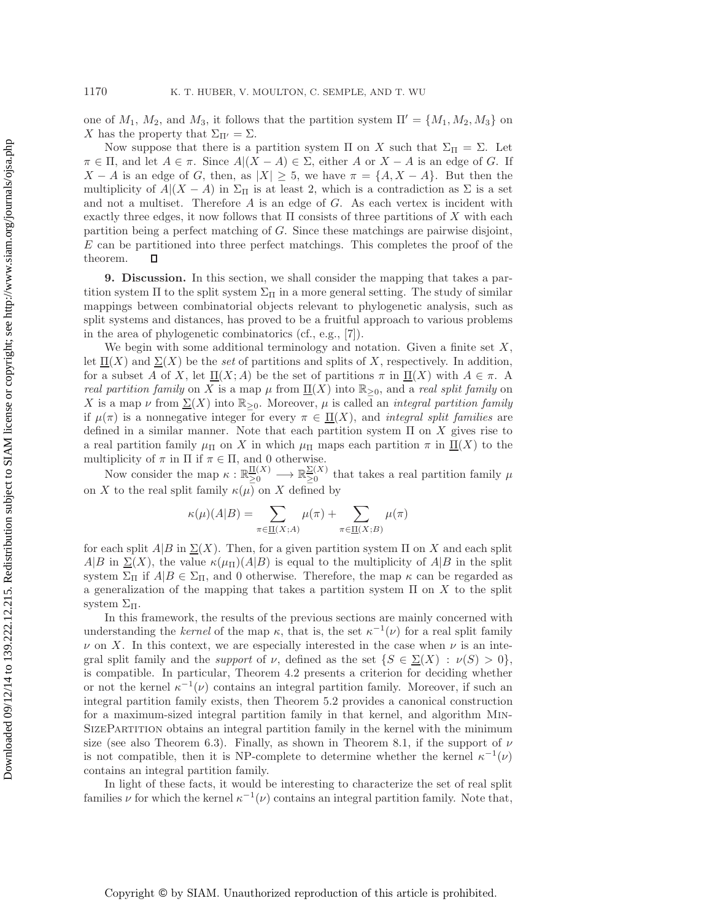one of  $M_1$ ,  $M_2$ , and  $M_3$ , it follows that the partition system  $\Pi' = \{M_1, M_2, M_3\}$  on X has the property that  $\Sigma_{\Pi'} = \Sigma$ .

Now suppose that there is a partition system  $\Pi$  on X such that  $\Sigma_{\Pi} = \Sigma$ . Let  $\pi \in \Pi$ , and let  $A \in \pi$ . Since  $A|(X - A) \in \Sigma$ , either A or  $X - A$  is an edge of G. If  $X - A$  is an edge of G, then, as  $|X| \geq 5$ , we have  $\pi = \{A, X - A\}$ . But then the multiplicity of  $A|(X - A)$  in  $\Sigma_{\Pi}$  is at least 2, which is a contradiction as  $\Sigma$  is a set and not a multiset. Therefore  $A$  is an edge of  $G$ . As each vertex is incident with exactly three edges, it now follows that  $\Pi$  consists of three partitions of  $X$  with each partition being a perfect matching of G. Since these matchings are pairwise disjoint,  $E$  can be partitioned into three perfect matchings. This completes the proof of the theorem.  $\Box$ 

<span id="page-18-0"></span>**9. Discussion.** In this section, we shall consider the mapping that takes a partition system  $\Pi$  to the split system  $\Sigma_{\Pi}$  in a more general setting. The study of similar mappings between combinatorial objects relevant to phylogenetic analysis, such as split systems and distances, has proved to be a fruitful approach to various problems in the area of phylogenetic combinatorics (cf., e.g., [\[7\]](#page-20-12)).

We begin with some additional terminology and notation. Given a finite set  $X$ , let  $\Pi(X)$  and  $\Sigma(X)$  be the *set* of partitions and splits of X, respectively. In addition, for a subset A of X, let  $\underline{\Pi}(X;A)$  be the set of partitions  $\pi$  in  $\underline{\Pi}(X)$  with  $A \in \pi$ . A *real partition family* on X is a map  $\mu$  from  $\Pi(X)$  into  $\mathbb{R}_{\geq 0}$ , and a *real split family* on X is a map  $\nu$  from  $\Sigma(X)$  into  $\mathbb{R}_{\geq 0}$ . Moreover,  $\mu$  is called an *integral partition family* if  $\mu(\pi)$  is a nonnegative integer for every  $\pi \in \Pi(X)$ , and *integral split families* are defined in a similar manner. Note that each partition system  $\Pi$  on X gives rise to a real partition family  $\mu_{\Pi}$  on X in which  $\mu_{\Pi}$  maps each partition  $\pi$  in  $\Pi(X)$  to the multiplicity of  $\pi$  in  $\Pi$  if  $\pi \in \Pi$ , and 0 otherwise.

Now consider the map  $\kappa : \mathbb{R}_{\geq 0}^{\Pi(X)} \longrightarrow \mathbb{R}_{\geq 0}^{\Sigma(X)}$  that takes a real partition family  $\mu$ on X to the real split family  $\kappa(\mu)$  on X defined by

$$
\kappa(\mu)(A|B) = \sum_{\pi \in \underline{\Pi}(X;A)} \mu(\pi) + \sum_{\pi \in \underline{\Pi}(X;B)} \mu(\pi)
$$

for each split  $A|B$  in  $\Sigma(X)$ . Then, for a given partition system  $\Pi$  on X and each split  $A|B$  in  $\Sigma(X)$ , the value  $\kappa(\mu_{\Pi})(A|B)$  is equal to the multiplicity of  $A|B$  in the split system  $\Sigma_{\Pi}$  if  $A|B \in \Sigma_{\Pi}$ , and 0 otherwise. Therefore, the map  $\kappa$  can be regarded as a generalization of the mapping that takes a partition system  $\Pi$  on X to the split system  $\Sigma$ π.

In this framework, the results of the previous sections are mainly concerned with understanding the *kernel* of the map  $\kappa$ , that is, the set  $\kappa^{-1}(\nu)$  for a real split family  $\nu$  on X. In this context, we are especially interested in the case when  $\nu$  is an integral split family and the *support* of  $\nu$ , defined as the set  $\{S \in \Sigma(X) : \nu(S) > 0\}$ , is compatible. In particular, Theorem [4.2](#page-6-0) presents a criterion for deciding whether or not the kernel  $\kappa^{-1}(\nu)$  contains an integral partition family. Moreover, if such an integral partition family exists, then Theorem [5.2](#page-9-2) provides a canonical construction for a maximum-sized integral partition family in that kernel, and algorithm Min-SizePartition obtains an integral partition family in the kernel with the minimum size (see also Theorem [6.3\)](#page-13-0). Finally, as shown in Theorem [8.1,](#page-17-1) if the support of  $\nu$ is not compatible, then it is NP-complete to determine whether the kernel  $\kappa^{-1}(\nu)$ contains an integral partition family.

In light of these facts, it would be interesting to characterize the set of real split families  $\nu$  for which the kernel  $\kappa^{-1}(\nu)$  contains an integral partition family. Note that,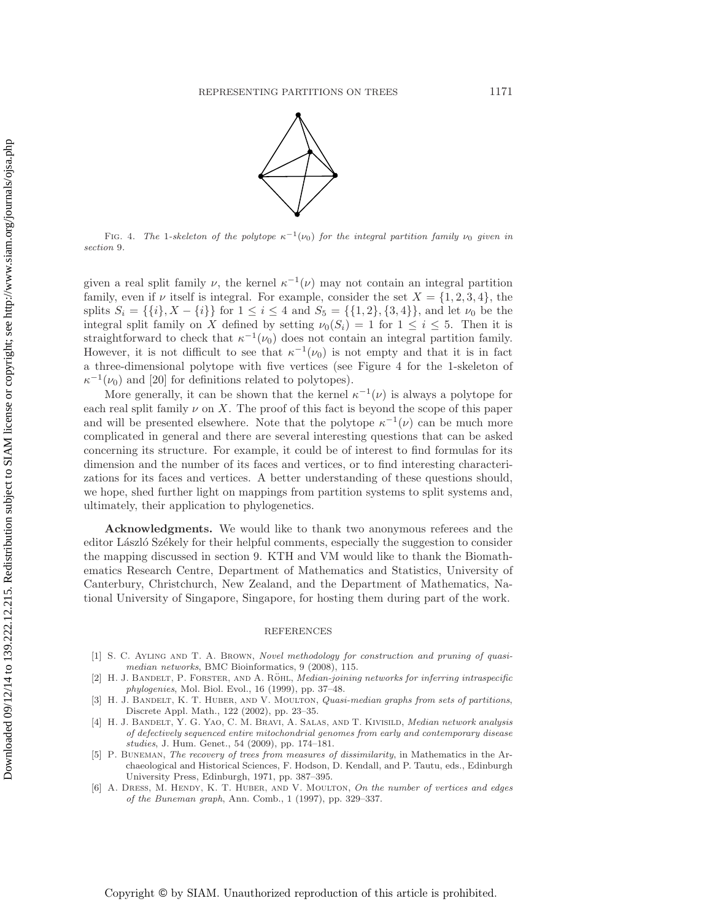

<span id="page-19-6"></span>FIG. 4. *The* 1*-skeleton of the polytope*  $\kappa^{-1}(\nu_0)$  *for the integral partition family*  $\nu_0$  *given in section* [9](#page-18-0)*.*

given a real split family  $\nu$ , the kernel  $\kappa^{-1}(\nu)$  may not contain an integral partition family, even if  $\nu$  itself is integral. For example, consider the set  $X = \{1, 2, 3, 4\}$ , the splits  $S_i = \{\{i\}, X - \{i\}\}\$ for  $1 \leq i \leq 4$  and  $S_5 = \{\{1, 2\}, \{3, 4\}\}\$ , and let  $\nu_0$  be the integral split family on X defined by setting  $\nu_0(S_i) = 1$  for  $1 \leq i \leq 5$ . Then it is straightforward to check that  $\kappa^{-1}(\nu_0)$  does not contain an integral partition family. However, it is not difficult to see that  $\kappa^{-1}(\nu_0)$  is not empty and that it is in fact a three-dimensional polytope with five vertices (see Figure [4](#page-19-6) for the 1-skeleton of  $\kappa^{-1}(\nu_0)$  and [\[20\]](#page-20-13) for definitions related to polytopes).

More generally, it can be shown that the kernel  $\kappa^{-1}(\nu)$  is always a polytope for each real split family  $\nu$  on X. The proof of this fact is beyond the scope of this paper and will be presented elsewhere. Note that the polytope  $\kappa^{-1}(\nu)$  can be much more complicated in general and there are several interesting questions that can be asked concerning its structure. For example, it could be of interest to find formulas for its dimension and the number of its faces and vertices, or to find interesting characterizations for its faces and vertices. A better understanding of these questions should, we hope, shed further light on mappings from partition systems to split systems and, ultimately, their application to phylogenetics.

**Acknowledgments.** We would like to thank two anonymous referees and the editor László Székely for their helpful comments, especially the suggestion to consider the mapping discussed in section [9.](#page-18-0) KTH and VM would like to thank the Biomathematics Research Centre, Department of Mathematics and Statistics, University of Canterbury, Christchurch, New Zealand, and the Department of Mathematics, National University of Singapore, Singapore, for hosting them during part of the work.

## REFERENCES

- <span id="page-19-1"></span>[1] S. C. Ayling and T. A. Brown, *Novel methodology for construction and pruning of quasimedian networks*, BMC Bioinformatics, 9 (2008), 115.
- <span id="page-19-2"></span>[2] H. J. BANDELT, P. FORSTER, AND A. RÖHL, *Median-joining networks for inferring intraspecific phylogenies*, Mol. Biol. Evol., 16 (1999), pp. 37–48.
- <span id="page-19-5"></span>[3] H. J. Bandelt, K. T. Huber, and V. Moulton, *Quasi-median graphs from sets of partitions*, Discrete Appl. Math., 122 (2002), pp. 23–35.
- <span id="page-19-3"></span>[4] H. J. Bandelt, Y. G. Yao, C. M. Bravi, A. Salas, and T. Kivisild, *Median network analysis of defectively sequenced entire mitochondrial genomes from early and contemporary disease studies*, J. Hum. Genet., 54 (2009), pp. 174–181.
- <span id="page-19-0"></span>[5] P. Buneman, *The recovery of trees from measures of dissimilarity*, in Mathematics in the Archaeological and Historical Sciences, F. Hodson, D. Kendall, and P. Tautu, eds., Edinburgh University Press, Edinburgh, 1971, pp. 387–395.
- <span id="page-19-4"></span>[6] A. Dress, M. Hendy, K. T. Huber, and V. Moulton, *On the number of vertices and edges of the Buneman graph*, Ann. Comb., 1 (1997), pp. 329–337.